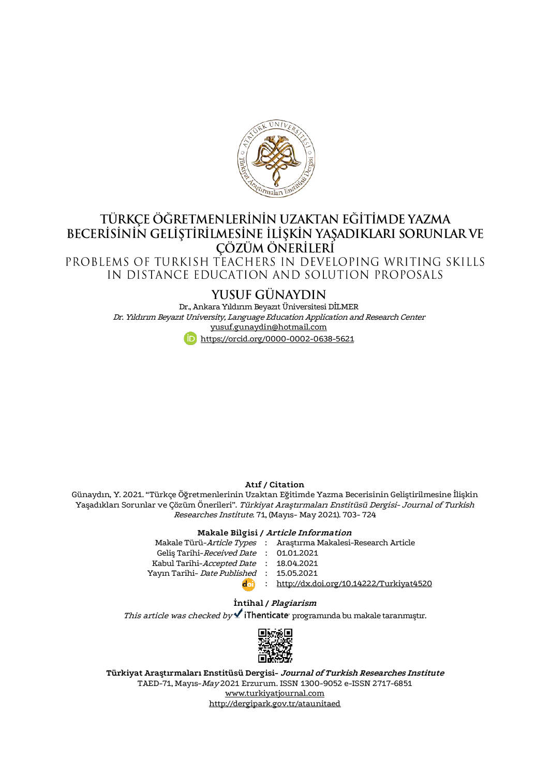

# TÜRKÇE ÖĞRETMENLERİNİN UZAKTAN EĞİTİMDE YAZMA BECERISININ GELIŞTIRILMESINE İLİŞKIN YAŞADIKLARI SORUNLAR VE CÖZÜM ÖNERİLERİ

PROBLEMS OF TURKISH TEACHERS IN DEVELOPING WRITING SKILLS IN DISTANCE EDUCATION AND SOLUTION PROPOSALS

## YUSUF GÜNAYDIN

Dr., Ankara Yıldırım Beyazıt Üniversitesi DİLMER Dr. Yıldırım Beyazıt University, Language Education Application and Research Center [yusuf.gunaydin@hotmail.com](mailto:yusuf.gunaydin@hotmail.com) <https://orcid.org/0000-0002-0638-5621>

**Atıf / Citation**

Günaydın, Y. 2021. "Türkçe Öğretmenlerinin Uzaktan Eğitimde Yazma Becerisinin Geliştirilmesine İlişkin Yaşadıkları Sorunlar ve Çözüm Önerileri". Türkiyat Araştırmaları Enstitüsü Dergisi- Journal of Turkish Researches Institute. 71, (Mayıs- May 2021). 703- 724

#### **Makale Bilgisi / Article Information**

| Makale Türü- <i>Article Types</i> : Arastırma Makalesi-Research Article |
|-------------------------------------------------------------------------|
| Gelis Tarihi-Received Date: 01.01.2021                                  |
| Kabul Tarihi-Accepted Date : 18.04.2021                                 |
| Yayın Tarihi- Date Published: 15.05.2021                                |
| : http://dx.doi.org/10.14222/Turkiyat4520                               |
|                                                                         |

#### **İntihal / Plagiarism**

This article was checked by  $\checkmark$  iThenticate programında bu makale taranmıştır.



**Türkiyat Araştırmaları Enstitüsü Dergisi- Journal of Turkish Researches Institute** TAED-71, Mayıs-May 2021 Erzurum. ISSN 1300-9052 e-ISSN 2717-6851 [www.turkiyatjournal.com](http://www.turkiyatjournal.com/) <http://dergipark.gov.tr/ataunitaed>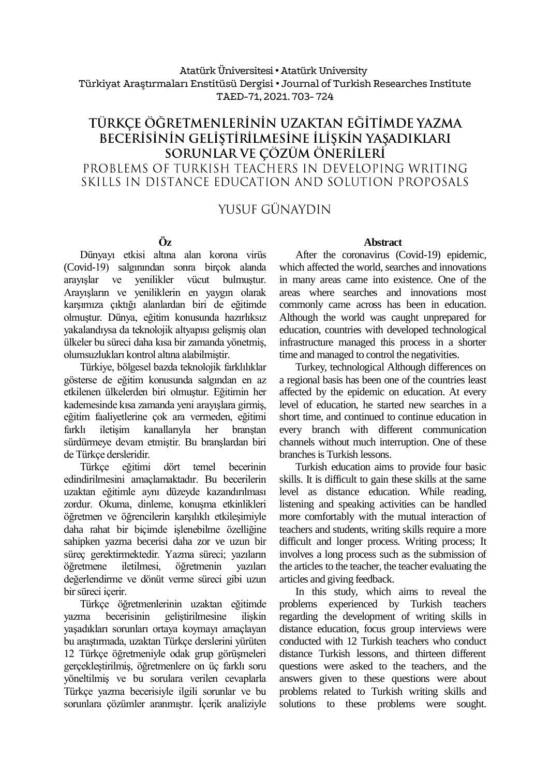#### Atatürk Üniversitesi• Atatürk University Türkiyat Araştırmaları Enstitüsü Dergisi • Journal of Turkish Researches Institute TAED-71, 2021. 703- 724

## TÜRKCE ÖĞRETMENLERİNİN UZAKTAN EĞİTİMDE YAZMA BECERISININ GELIŞTIRILMESINE İLIŞKIN YAŞADIKLARI SORUNLAR VE ÇÖZÜM ÖNERİLERİ PROBLEMS OF TURKISH TEACHERS IN DEVELOPING WRITING SKILLS IN DISTANCE EDUCATION AND SOLUTION PROPOSALS

YUSUF GÜNAYDIN

### **Öz**

Dünyayı etkisi altına alan korona virüs (Covid-19) salgınından sonra birçok alanda arayışlar ve yenilikler vücut bulmuştur. Arayışların ve yeniliklerin en yaygın olarak karşımıza çıktığı alanlardan biri de eğitimde olmuştur. Dünya, eğitim konusunda hazırlıksız yakalandıysa da teknolojik altyapısı gelişmiş olan ülkeler bu süreci daha kısa bir zamanda yönetmiş, olumsuzlukları kontrol altına alabilmiştir.

Türkiye, bölgesel bazda teknolojik farklılıklar gösterse de eğitim konusunda salgından en az etkilenen ülkelerden biri olmuştur. Eğitimin her kademesinde kısa zamanda yeni arayışlara girmiş, eğitim faaliyetlerine çok ara vermeden, eğitimi farklı iletişim kanallarıyla her branştan sürdürmeye devam etmiştir. Bu branşlardan biri de Türkçe dersleridir.

Türkçe eğitimi dört temel becerinin edindirilmesini amaçlamaktadır. Bu becerilerin uzaktan eğitimle aynı düzeyde kazandırılması zordur. Okuma, dinleme, konuşma etkinlikleri öğretmen ve öğrencilerin karşılıklı etkileşimiyle daha rahat bir biçimde işlenebilme özelliğine sahipken yazma becerisi daha zor ve uzun bir süreç gerektirmektedir. Yazma süreci; yazıların öğretmene iletilmesi, öğretmenin yazıları değerlendirme ve dönüt verme süreci gibi uzun bir süreci içerir.

Türkçe öğretmenlerinin uzaktan eğitimde yazma becerisinin geliştirilmesine ilişkin yaşadıkları sorunları ortaya koymayı amaçlayan bu araştırmada, uzaktan Türkçe derslerini yürüten 12 Türkçe öğretmeniyle odak grup görüşmeleri gerçekleştirilmiş, öğretmenlere on üç farklı soru yöneltilmiş ve bu sorulara verilen cevaplarla Türkçe yazma becerisiyle ilgili sorunlar ve bu sorunlara çözümler aranmıştır. İçerik analiziyle

#### **Abstract**

After the coronavirus (Covid-19) epidemic, which affected the world, searches and innovations in many areas came into existence. One of the areas where searches and innovations most commonly came across has been in education. Although the world was caught unprepared for education, countries with developed technological infrastructure managed this process in a shorter time and managed to control the negativities.

Turkey, technological Although differences on a regional basis has been one of the countries least affected by the epidemic on education. At every level of education, he started new searches in a short time, and continued to continue education in every branch with different communication channels without much interruption. One of these branches is Turkish lessons.

Turkish education aims to provide four basic skills. It is difficult to gain these skills at the same level as distance education. While reading, listening and speaking activities can be handled more comfortably with the mutual interaction of teachers and students, writing skills require a more difficult and longer process. Writing process; It involves a long process such as the submission of the articles to the teacher, the teacher evaluating the articles and giving feedback.

In this study, which aims to reveal the problems experienced by Turkish teachers regarding the development of writing skills in distance education, focus group interviews were conducted with 12 Turkish teachers who conduct distance Turkish lessons, and thirteen different questions were asked to the teachers, and the answers given to these questions were about problems related to Turkish writing skills and solutions to these problems were sought.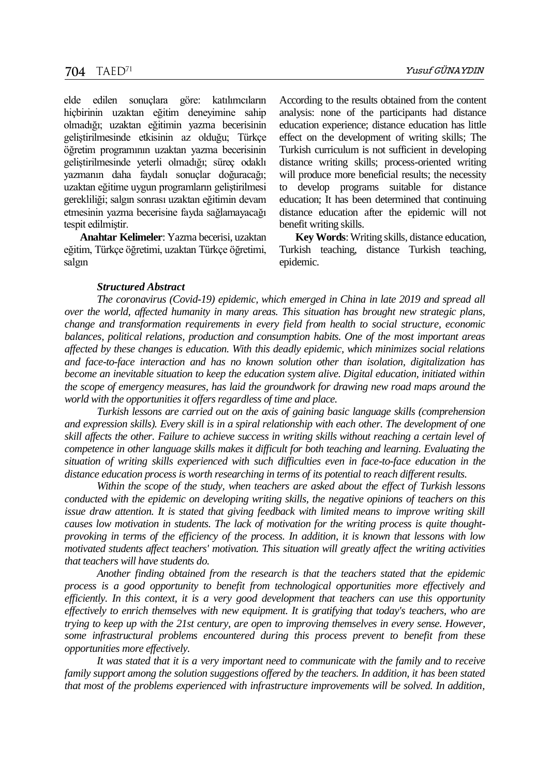elde edilen sonuçlara göre: katılımcıların hiçbirinin uzaktan eğitim deneyimine sahip olmadığı; uzaktan eğitimin yazma becerisinin geliştirilmesinde etkisinin az olduğu; Türkçe öğretim programının uzaktan yazma becerisinin geliştirilmesinde yeterli olmadığı; süreç odaklı yazmanın daha faydalı sonuçlar doğuracağı; uzaktan eğitime uygun programların geliştirilmesi gerekliliği; salgın sonrası uzaktan eğitimin devam etmesinin yazma becerisine fayda sağlamayacağı tespit edilmiştir.

**Anahtar Kelimeler**: Yazma becerisi, uzaktan eğitim, Türkçe öğretimi, uzaktan Türkçe öğretimi, salgın

According to the results obtained from the content analysis: none of the participants had distance education experience; distance education has little effect on the development of writing skills; The Turkish curriculum is not sufficient in developing distance writing skills; process-oriented writing will produce more beneficial results; the necessity to develop programs suitable for distance education; It has been determined that continuing distance education after the epidemic will not benefit writing skills.

**Key Words**: Writing skills, distance education, Turkish teaching, distance Turkish teaching, epidemic.

#### *Structured Abstract*

*The coronavirus (Covid-19) epidemic, which emerged in China in late 2019 and spread all over the world, affected humanity in many areas. This situation has brought new strategic plans, change and transformation requirements in every field from health to social structure, economic balances, political relations, production and consumption habits. One of the most important areas affected by these changes is education. With this deadly epidemic, which minimizes social relations and face-to-face interaction and has no known solution other than isolation, digitalization has become an inevitable situation to keep the education system alive. Digital education, initiated within the scope of emergency measures, has laid the groundwork for drawing new road maps around the world with the opportunities it offers regardless of time and place.*

*Turkish lessons are carried out on the axis of gaining basic language skills (comprehension and expression skills). Every skill is in a spiral relationship with each other. The development of one skill affects the other. Failure to achieve success in writing skills without reaching a certain level of competence in other language skills makes it difficult for both teaching and learning. Evaluating the situation of writing skills experienced with such difficulties even in face-to-face education in the distance education process is worth researching in terms of its potential to reach different results.*

*Within the scope of the study, when teachers are asked about the effect of Turkish lessons conducted with the epidemic on developing writing skills, the negative opinions of teachers on this issue draw attention. It is stated that giving feedback with limited means to improve writing skill causes low motivation in students. The lack of motivation for the writing process is quite thoughtprovoking in terms of the efficiency of the process. In addition, it is known that lessons with low motivated students affect teachers' motivation. This situation will greatly affect the writing activities that teachers will have students do.*

*Another finding obtained from the research is that the teachers stated that the epidemic process is a good opportunity to benefit from technological opportunities more effectively and efficiently. In this context, it is a very good development that teachers can use this opportunity effectively to enrich themselves with new equipment. It is gratifying that today's teachers, who are trying to keep up with the 21st century, are open to improving themselves in every sense. However, some infrastructural problems encountered during this process prevent to benefit from these opportunities more effectively.*

*It was stated that it is a very important need to communicate with the family and to receive family support among the solution suggestions offered by the teachers. In addition, it has been stated that most of the problems experienced with infrastructure improvements will be solved. In addition,*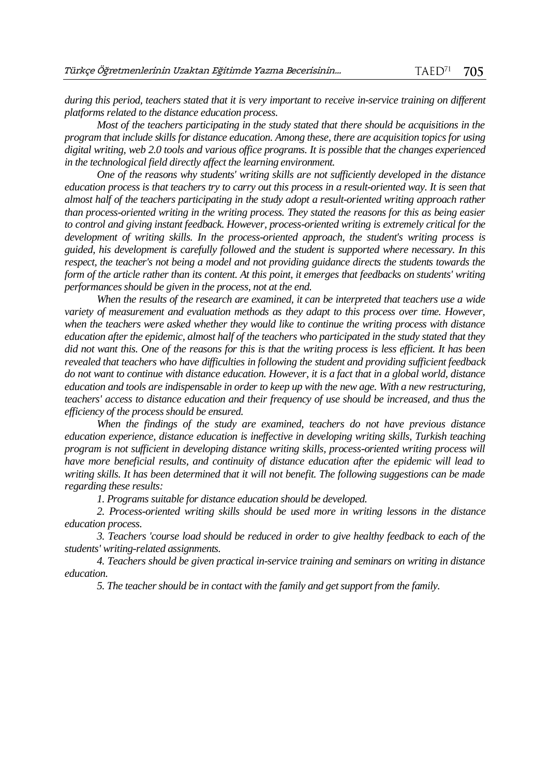*during this period, teachers stated that it is very important to receive in-service training on different platforms related to the distance education process.*

*Most of the teachers participating in the study stated that there should be acquisitions in the program that include skills for distance education. Among these, there are acquisition topics for using digital writing, web 2.0 tools and various office programs. It is possible that the changes experienced in the technological field directly affect the learning environment.*

*One of the reasons why students' writing skills are not sufficiently developed in the distance education process is that teachers try to carry out this process in a result-oriented way. It is seen that almost half of the teachers participating in the study adopt a result-oriented writing approach rather than process-oriented writing in the writing process. They stated the reasons for this as being easier to control and giving instant feedback. However, process-oriented writing is extremely critical for the development of writing skills. In the process-oriented approach, the student's writing process is guided, his development is carefully followed and the student is supported where necessary. In this respect, the teacher's not being a model and not providing guidance directs the students towards the form of the article rather than its content. At this point, it emerges that feedbacks on students' writing performances should be given in the process, not at the end.*

*When the results of the research are examined, it can be interpreted that teachers use a wide variety of measurement and evaluation methods as they adapt to this process over time. However, when the teachers were asked whether they would like to continue the writing process with distance education after the epidemic, almost half of the teachers who participated in the study stated that they did not want this. One of the reasons for this is that the writing process is less efficient. It has been revealed that teachers who have difficulties in following the student and providing sufficient feedback do not want to continue with distance education. However, it is a fact that in a global world, distance education and tools are indispensable in order to keep up with the new age. With a new restructuring, teachers' access to distance education and their frequency of use should be increased, and thus the efficiency of the process should be ensured.*

*When the findings of the study are examined, teachers do not have previous distance education experience, distance education is ineffective in developing writing skills, Turkish teaching program is not sufficient in developing distance writing skills, process-oriented writing process will have more beneficial results, and continuity of distance education after the epidemic will lead to writing skills. It has been determined that it will not benefit. The following suggestions can be made regarding these results:*

*1. Programs suitable for distance education should be developed.*

*2. Process-oriented writing skills should be used more in writing lessons in the distance education process.*

*3. Teachers 'course load should be reduced in order to give healthy feedback to each of the students' writing-related assignments.*

*4. Teachers should be given practical in-service training and seminars on writing in distance education.*

*5. The teacher should be in contact with the family and get support from the family.*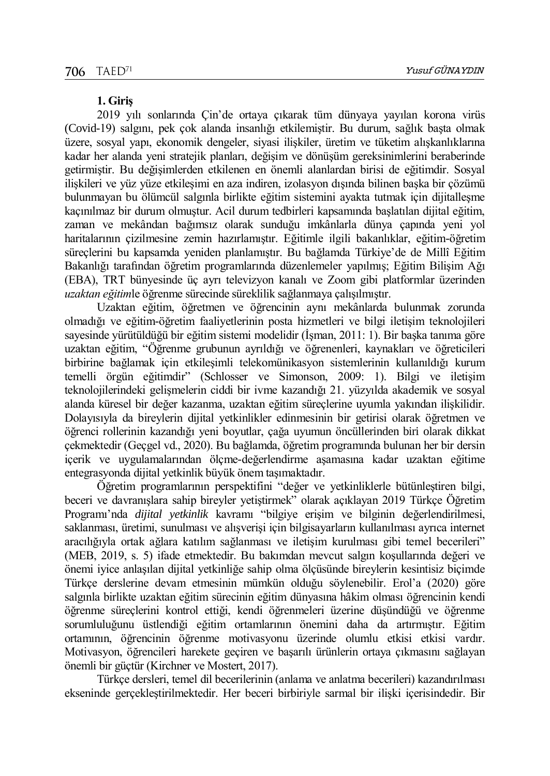#### **1. Giriş**

2019 yılı sonlarında Çin'de ortaya çıkarak tüm dünyaya yayılan korona virüs (Covid-19) salgını, pek çok alanda insanlığı etkilemiştir. Bu durum, sağlık başta olmak üzere, sosyal yapı, ekonomik dengeler, siyasi ilişkiler, üretim ve tüketim alışkanlıklarına kadar her alanda yeni stratejik planları, değişim ve dönüşüm gereksinimlerini beraberinde getirmiştir. Bu değişimlerden etkilenen en önemli alanlardan birisi de eğitimdir. Sosyal ilişkileri ve yüz yüze etkileşimi en aza indiren, izolasyon dışında bilinen başka bir çözümü bulunmayan bu ölümcül salgınla birlikte eğitim sistemini ayakta tutmak için dijitalleşme kaçınılmaz bir durum olmuştur. Acil durum tedbirleri kapsamında başlatılan dijital eğitim, zaman ve mekândan bağımsız olarak sunduğu imkânlarla dünya çapında yeni yol haritalarının çizilmesine zemin hazırlamıştır. Eğitimle ilgili bakanlıklar, eğitim-öğretim süreçlerini bu kapsamda yeniden planlamıştır. Bu bağlamda Türkiye'de de Millî Eğitim Bakanlığı tarafından öğretim programlarında düzenlemeler yapılmış; Eğitim Bilişim Ağı (EBA), TRT bünyesinde üç ayrı televizyon kanalı ve Zoom gibi platformlar üzerinden *uzaktan eğitim*le öğrenme sürecinde süreklilik sağlanmaya çalışılmıştır.

Uzaktan eğitim, öğretmen ve öğrencinin aynı mekânlarda bulunmak zorunda olmadığı ve eğitim-öğretim faaliyetlerinin posta hizmetleri ve bilgi iletişim teknolojileri sayesinde yürütüldüğü bir eğitim sistemi modelidir (İşman, 2011: 1). Bir başka tanıma göre uzaktan eğitim, "Öğrenme grubunun ayrıldığı ve öğrenenleri, kaynakları ve öğreticileri birbirine bağlamak için etkileşimli telekomünikasyon sistemlerinin kullanıldığı kurum temelli örgün eğitimdir" (Schlosser ve Simonson, 2009: 1). Bilgi ve iletişim teknolojilerindeki gelişmelerin ciddi bir ivme kazandığı 21. yüzyılda akademik ve sosyal alanda küresel bir değer kazanma, uzaktan eğitim süreçlerine uyumla yakından ilişkilidir. Dolayısıyla da bireylerin dijital yetkinlikler edinmesinin bir getirisi olarak öğretmen ve öğrenci rollerinin kazandığı yeni boyutlar, çağa uyumun öncüllerinden biri olarak dikkat çekmektedir (Geçgel vd., 2020). Bu bağlamda, öğretim programında bulunan her bir dersin içerik ve uygulamalarından ölçme-değerlendirme aşamasına kadar uzaktan eğitime entegrasyonda dijital yetkinlik büyük önem taşımaktadır.

Öğretim programlarının perspektifini "değer ve yetkinliklerle bütünleştiren bilgi, beceri ve davranışlara sahip bireyler yetiştirmek" olarak açıklayan 2019 Türkçe Öğretim Programı'nda *dijital yetkinlik* kavramı "bilgiye erişim ve bilginin değerlendirilmesi, saklanması, üretimi, sunulması ve alışverişi için bilgisayarların kullanılması ayrıca internet aracılığıyla ortak ağlara katılım sağlanması ve iletişim kurulması gibi temel becerileri" (MEB, 2019, s. 5) ifade etmektedir. Bu bakımdan mevcut salgın koşullarında değeri ve önemi iyice anlaşılan dijital yetkinliğe sahip olma ölçüsünde bireylerin kesintisiz biçimde Türkçe derslerine devam etmesinin mümkün olduğu söylenebilir. Erol'a (2020) göre salgınla birlikte uzaktan eğitim sürecinin eğitim dünyasına hâkim olması öğrencinin kendi öğrenme süreçlerini kontrol ettiği, kendi öğrenmeleri üzerine düşündüğü ve öğrenme sorumluluğunu üstlendiği eğitim ortamlarının önemini daha da artırmıştır. Eğitim ortamının, öğrencinin öğrenme motivasyonu üzerinde olumlu etkisi etkisi vardır. Motivasyon, öğrencileri harekete geçiren ve başarılı ürünlerin ortaya çıkmasını sağlayan önemli bir güçtür (Kirchner ve Mostert, 2017).

Türkçe dersleri, temel dil becerilerinin (anlama ve anlatma becerileri) kazandırılması ekseninde gerçekleştirilmektedir. Her beceri birbiriyle sarmal bir ilişki içerisindedir. Bir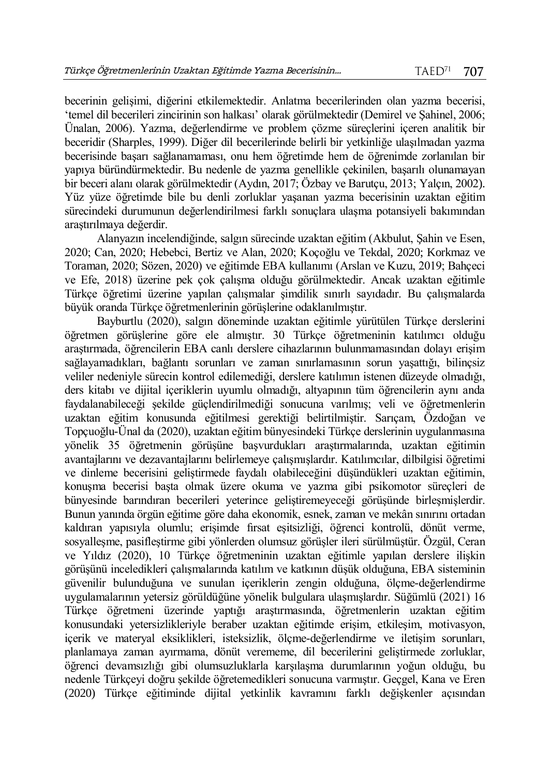becerinin gelişimi, diğerini etkilemektedir. Anlatma becerilerinden olan yazma becerisi, 'temel dil becerileri zincirinin son halkası' olarak görülmektedir (Demirel ve Şahinel, 2006; Ünalan, 2006). Yazma, değerlendirme ve problem çözme süreçlerini içeren analitik bir beceridir (Sharples, 1999). Diğer dil becerilerinde belirli bir yetkinliğe ulaşılmadan yazma becerisinde başarı sağlanamaması, onu hem öğretimde hem de öğrenimde zorlanılan bir yapıya büründürmektedir. Bu nedenle de yazma genellikle çekinilen, başarılı olunamayan bir beceri alanı olarak görülmektedir (Aydın, 2017; Özbay ve Barutçu, 2013; Yalçın, 2002). Yüz yüze öğretimde bile bu denli zorluklar yaşanan yazma becerisinin uzaktan eğitim sürecindeki durumunun değerlendirilmesi farklı sonuçlara ulaşma potansiyeli bakımından araştırılmaya değerdir.

Alanyazın incelendiğinde, salgın sürecinde uzaktan eğitim (Akbulut, Şahin ve Esen, 2020; Can, 2020; Hebebci, Bertiz ve Alan, 2020; Koçoğlu ve Tekdal, 2020; Korkmaz ve Toraman, 2020; Sözen, 2020) ve eğitimde EBA kullanımı (Arslan ve Kuzu, 2019; Bahçeci ve Efe, 2018) üzerine pek çok çalışma olduğu görülmektedir. Ancak uzaktan eğitimle Türkçe öğretimi üzerine yapılan çalışmalar şimdilik sınırlı sayıdadır. Bu çalışmalarda büyük oranda Türkçe öğretmenlerinin görüşlerine odaklanılmıştır.

Bayburtlu (2020), salgın döneminde uzaktan eğitimle yürütülen Türkçe derslerini öğretmen görüşlerine göre ele almıştır. 30 Türkçe öğretmeninin katılımcı olduğu araştırmada, öğrencilerin EBA canlı derslere cihazlarının bulunmamasından dolayı erişim sağlayamadıkları, bağlantı sorunları ve zaman sınırlamasının sorun yaşattığı, bilinçsiz veliler nedeniyle sürecin kontrol edilemediği, derslere katılımın istenen düzeyde olmadığı, ders kitabı ve dijital içeriklerin uyumlu olmadığı, altyapının tüm öğrencilerin aynı anda faydalanabileceği şekilde güçlendirilmediği sonucuna varılmış; veli ve öğretmenlerin uzaktan eğitim konusunda eğitilmesi gerektiği belirtilmiştir. Sarıçam, Özdoğan ve Topçuoğlu-Ünal da (2020), uzaktan eğitim bünyesindeki Türkçe derslerinin uygulanmasına yönelik 35 öğretmenin görüşüne başvurdukları araştırmalarında, uzaktan eğitimin avantajlarını ve dezavantajlarını belirlemeye çalışmışlardır. Katılımcılar, dilbilgisi öğretimi ve dinleme becerisini geliştirmede faydalı olabileceğini düşündükleri uzaktan eğitimin, konuşma becerisi başta olmak üzere okuma ve yazma gibi psikomotor süreçleri de bünyesinde barındıran becerileri yeterince geliştiremeyeceği görüşünde birleşmişlerdir. Bunun yanında örgün eğitime göre daha ekonomik, esnek, zaman ve mekân sınırını ortadan kaldıran yapısıyla olumlu; erişimde fırsat eşitsizliği, öğrenci kontrolü, dönüt verme, sosyalleşme, pasifleştirme gibi yönlerden olumsuz görüşler ileri sürülmüştür. Özgül, Ceran ve Yıldız (2020), 10 Türkçe öğretmeninin uzaktan eğitimle yapılan derslere ilişkin görüşünü inceledikleri çalışmalarında katılım ve katkının düşük olduğuna, EBA sisteminin güvenilir bulunduğuna ve sunulan içeriklerin zengin olduğuna, ölçme-değerlendirme uygulamalarının yetersiz görüldüğüne yönelik bulgulara ulaşmışlardır. Süğümlü (2021) 16 Türkçe öğretmeni üzerinde yaptığı araştırmasında, öğretmenlerin uzaktan eğitim konusundaki yetersizlikleriyle beraber uzaktan eğitimde erişim, etkileşim, motivasyon, içerik ve materyal eksiklikleri, isteksizlik, ölçme-değerlendirme ve iletişim sorunları, planlamaya zaman ayırmama, dönüt verememe, dil becerilerini geliştirmede zorluklar, öğrenci devamsızlığı gibi olumsuzluklarla karşılaşma durumlarının yoğun olduğu, bu nedenle Türkçeyi doğru şekilde öğretemedikleri sonucuna varmıştır. Geçgel, Kana ve Eren (2020) Türkçe eğitiminde dijital yetkinlik kavramını farklı değişkenler açısından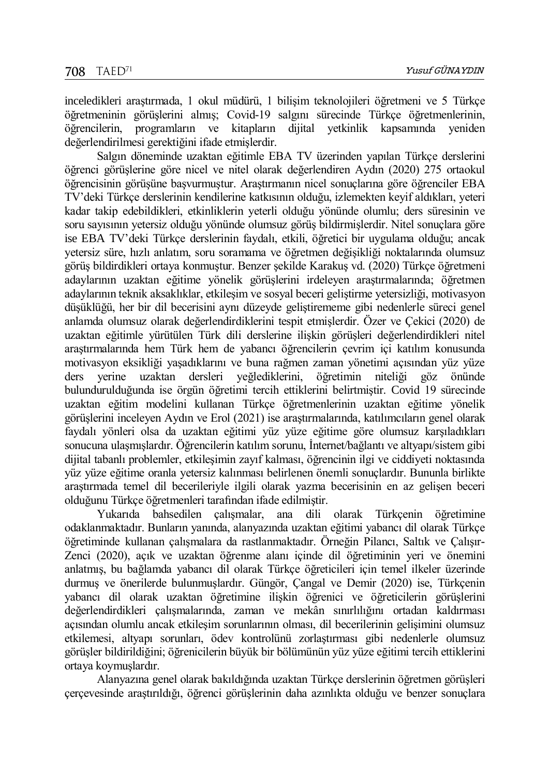inceledikleri araştırmada, 1 okul müdürü, 1 bilişim teknolojileri öğretmeni ve 5 Türkçe öğretmeninin görüşlerini almış; Covid-19 salgını sürecinde Türkçe öğretmenlerinin, öğrencilerin, programların ve kitapların dijital yetkinlik kapsamında yeniden değerlendirilmesi gerektiğini ifade etmişlerdir.

Salgın döneminde uzaktan eğitimle EBA TV üzerinden yapılan Türkçe derslerini öğrenci görüşlerine göre nicel ve nitel olarak değerlendiren Aydın (2020) 275 ortaokul öğrencisinin görüşüne başvurmuştur. Araştırmanın nicel sonuçlarına göre öğrenciler EBA TV'deki Türkçe derslerinin kendilerine katkısının olduğu, izlemekten keyif aldıkları, yeteri kadar takip edebildikleri, etkinliklerin yeterli olduğu yönünde olumlu; ders süresinin ve soru sayısının yetersiz olduğu yönünde olumsuz görüş bildirmişlerdir. Nitel sonuçlara göre ise EBA TV'deki Türkçe derslerinin faydalı, etkili, öğretici bir uygulama olduğu; ancak yetersiz süre, hızlı anlatım, soru soramama ve öğretmen değişikliği noktalarında olumsuz görüş bildirdikleri ortaya konmuştur. Benzer şekilde Karakuş vd. (2020) Türkçe öğretmeni adaylarının uzaktan eğitime yönelik görüşlerini irdeleyen araştırmalarında; öğretmen adaylarının teknik aksaklıklar, etkileşim ve sosyal beceri geliştirme yetersizliği, motivasyon düşüklüğü, her bir dil becerisini aynı düzeyde geliştirememe gibi nedenlerle süreci genel anlamda olumsuz olarak değerlendirdiklerini tespit etmişlerdir. Özer ve Çekici (2020) de uzaktan eğitimle yürütülen Türk dili derslerine ilişkin görüşleri değerlendirdikleri nitel araştırmalarında hem Türk hem de yabancı öğrencilerin çevrim içi katılım konusunda motivasyon eksikliği yaşadıklarını ve buna rağmen zaman yönetimi açısından yüz yüze ders yerine uzaktan dersleri yeğlediklerini, öğretimin niteliği göz önünde bulundurulduğunda ise örgün öğretimi tercih ettiklerini belirtmiştir. Covid 19 sürecinde uzaktan eğitim modelini kullanan Türkçe öğretmenlerinin uzaktan eğitime yönelik görüşlerini inceleyen Aydın ve Erol (2021) ise araştırmalarında, katılımcıların genel olarak faydalı yönleri olsa da uzaktan eğitimi yüz yüze eğitime göre olumsuz karşıladıkları sonucuna ulaşmışlardır. Öğrencilerin katılım sorunu, İnternet/bağlantı ve altyapı/sistem gibi dijital tabanlı problemler, etkileşimin zayıf kalması, öğrencinin ilgi ve ciddiyeti noktasında yüz yüze eğitime oranla yetersiz kalınması belirlenen önemli sonuçlardır. Bununla birlikte araştırmada temel dil becerileriyle ilgili olarak yazma becerisinin en az gelişen beceri olduğunu Türkçe öğretmenleri tarafından ifade edilmiştir.

Yukarıda bahsedilen çalışmalar, ana dili olarak Türkçenin öğretimine odaklanmaktadır. Bunların yanında, alanyazında uzaktan eğitimi yabancı dil olarak Türkçe öğretiminde kullanan çalışmalara da rastlanmaktadır. Örneğin Pilancı, Saltık ve Çalışır-Zenci (2020), açık ve uzaktan öğrenme alanı içinde dil öğretiminin yeri ve önemini anlatmış, bu bağlamda yabancı dil olarak Türkçe öğreticileri için temel ilkeler üzerinde durmuş ve önerilerde bulunmuşlardır. Güngör, Çangal ve Demir (2020) ise, Türkçenin yabancı dil olarak uzaktan öğretimine ilişkin öğrenici ve öğreticilerin görüşlerini değerlendirdikleri çalışmalarında, zaman ve mekân sınırlılığını ortadan kaldırması açısından olumlu ancak etkileşim sorunlarının olması, dil becerilerinin gelişimini olumsuz etkilemesi, altyapı sorunları, ödev kontrolünü zorlaştırması gibi nedenlerle olumsuz görüşler bildirildiğini; öğrenicilerin büyük bir bölümünün yüz yüze eğitimi tercih ettiklerini ortaya koymuşlardır.

Alanyazına genel olarak bakıldığında uzaktan Türkçe derslerinin öğretmen görüşleri çerçevesinde araştırıldığı, öğrenci görüşlerinin daha azınlıkta olduğu ve benzer sonuçlara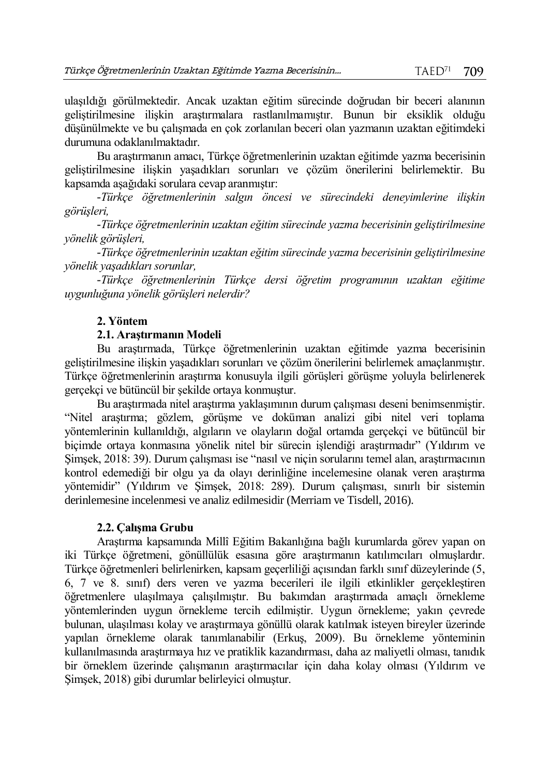ulaşıldığı görülmektedir. Ancak uzaktan eğitim sürecinde doğrudan bir beceri alanının geliştirilmesine ilişkin araştırmalara rastlanılmamıştır. Bunun bir eksiklik olduğu düşünülmekte ve bu çalışmada en çok zorlanılan beceri olan yazmanın uzaktan eğitimdeki durumuna odaklanılmaktadır.

Bu araştırmanın amacı, Türkçe öğretmenlerinin uzaktan eğitimde yazma becerisinin geliştirilmesine ilişkin yaşadıkları sorunları ve çözüm önerilerini belirlemektir. Bu kapsamda aşağıdaki sorulara cevap aranmıştır:

*-Türkçe öğretmenlerinin salgın öncesi ve sürecindeki deneyimlerine ilişkin görüşleri,*

*-Türkçe öğretmenlerinin uzaktan eğitim sürecinde yazma becerisinin geliştirilmesine yönelik görüşleri,*

*-Türkçe öğretmenlerinin uzaktan eğitim sürecinde yazma becerisinin geliştirilmesine yönelik yaşadıkları sorunlar,*

*-Türkçe öğretmenlerinin Türkçe dersi öğretim programının uzaktan eğitime uygunluğuna yönelik görüşleri nelerdir?*

## **2. Yöntem**

### **2.1. Araştırmanın Modeli**

Bu araştırmada, Türkçe öğretmenlerinin uzaktan eğitimde yazma becerisinin geliştirilmesine ilişkin yaşadıkları sorunları ve çözüm önerilerini belirlemek amaçlanmıştır. Türkçe öğretmenlerinin araştırma konusuyla ilgili görüşleri görüşme yoluyla belirlenerek gerçekçi ve bütüncül bir şekilde ortaya konmuştur.

Bu araştırmada nitel araştırma yaklaşımının durum çalışması deseni benimsenmiştir. "Nitel araştırma; gözlem, görüşme ve doküman analizi gibi nitel veri toplama yöntemlerinin kullanıldığı, algıların ve olayların doğal ortamda gerçekçi ve bütüncül bir biçimde ortaya konmasına yönelik nitel bir sürecin işlendiği araştırmadır" (Yıldırım ve Şimşek, 2018: 39). Durum çalışması ise "nasıl ve niçin sorularını temel alan, araştırmacının kontrol edemediği bir olgu ya da olayı derinliğine incelemesine olanak veren araştırma yöntemidir" (Yıldırım ve Şimşek, 2018: 289). Durum çalışması, sınırlı bir sistemin derinlemesine incelenmesi ve analiz edilmesidir (Merriam ve Tisdell, 2016).

#### **2.2. Çalışma Grubu**

Araştırma kapsamında Millî Eğitim Bakanlığına bağlı kurumlarda görev yapan on iki Türkçe öğretmeni, gönüllülük esasına göre araştırmanın katılımcıları olmuşlardır. Türkçe öğretmenleri belirlenirken, kapsam geçerliliği açısından farklı sınıf düzeylerinde (5, 6, 7 ve 8. sınıf) ders veren ve yazma becerileri ile ilgili etkinlikler gerçekleştiren öğretmenlere ulaşılmaya çalışılmıştır. Bu bakımdan araştırmada amaçlı örnekleme yöntemlerinden uygun örnekleme tercih edilmiştir. Uygun örnekleme; yakın çevrede bulunan, ulaşılması kolay ve araştırmaya gönüllü olarak katılmak isteyen bireyler üzerinde yapılan örnekleme olarak tanımlanabilir (Erkuş, 2009). Bu örnekleme yönteminin kullanılmasında araştırmaya hız ve pratiklik kazandırması, daha az maliyetli olması, tanıdık bir örneklem üzerinde çalışmanın araştırmacılar için daha kolay olması (Yıldırım ve Şimşek, 2018) gibi durumlar belirleyici olmuştur.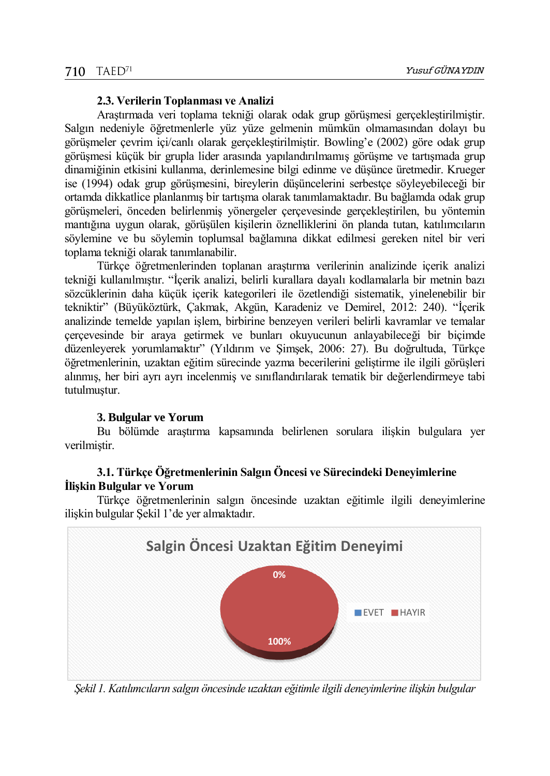#### **2.3. Verilerin Toplanması ve Analizi**

Araştırmada veri toplama tekniği olarak odak grup görüşmesi gerçekleştirilmiştir. Salgın nedeniyle öğretmenlerle yüz yüze gelmenin mümkün olmamasından dolayı bu görüşmeler çevrim içi/canlı olarak gerçekleştirilmiştir. Bowling'e (2002) göre odak grup görüşmesi küçük bir grupla lider arasında yapılandırılmamış görüşme ve tartışmada grup dinamiğinin etkisini kullanma, derinlemesine bilgi edinme ve düşünce üretmedir. Krueger ise (1994) odak grup görüşmesini, bireylerin düşüncelerini serbestçe söyleyebileceği bir ortamda dikkatlice planlanmış bir tartışma olarak tanımlamaktadır. Bu bağlamda odak grup görüşmeleri, önceden belirlenmiş yönergeler çerçevesinde gerçekleştirilen, bu yöntemin mantığına uygun olarak, görüşülen kişilerin öznelliklerini ön planda tutan, katılımcıların söylemine ve bu söylemin toplumsal bağlamına dikkat edilmesi gereken nitel bir veri toplama tekniği olarak tanımlanabilir.

Türkçe öğretmenlerinden toplanan araştırma verilerinin analizinde içerik analizi tekniği kullanılmıştır. "İçerik analizi, belirli kurallara dayalı kodlamalarla bir metnin bazı sözcüklerinin daha küçük içerik kategorileri ile özetlendiği sistematik, yinelenebilir bir tekniktir" (Büyüköztürk, Çakmak, Akgün, Karadeniz ve Demirel, 2012: 240). "İçerik analizinde temelde yapılan işlem, birbirine benzeyen verileri belirli kavramlar ve temalar çerçevesinde bir araya getirmek ve bunları okuyucunun anlayabileceği bir biçimde düzenleyerek yorumlamaktır" (Yıldırım ve Şimşek, 2006: 27). Bu doğrultuda, Türkçe öğretmenlerinin, uzaktan eğitim sürecinde yazma becerilerini geliştirme ile ilgili görüşleri alınmış, her biri ayrı ayrı incelenmiş ve sınıflandırılarak tematik bir değerlendirmeye tabi tutulmuştur.

## **3. Bulgular ve Yorum**

Bu bölümde araştırma kapsamında belirlenen sorulara ilişkin bulgulara yer verilmiştir.

## **3.1. Türkçe Öğretmenlerinin Salgın Öncesi ve Sürecindeki Deneyimlerine İlişkin Bulgular ve Yorum**

Türkçe öğretmenlerinin salgın öncesinde uzaktan eğitimle ilgili deneyimlerine ilişkin bulgular Şekil 1'de yer almaktadır.



*Şekil 1. Katılımcıların salgın öncesinde uzaktan eğitimle ilgili deneyimlerine ilişkin bulgular*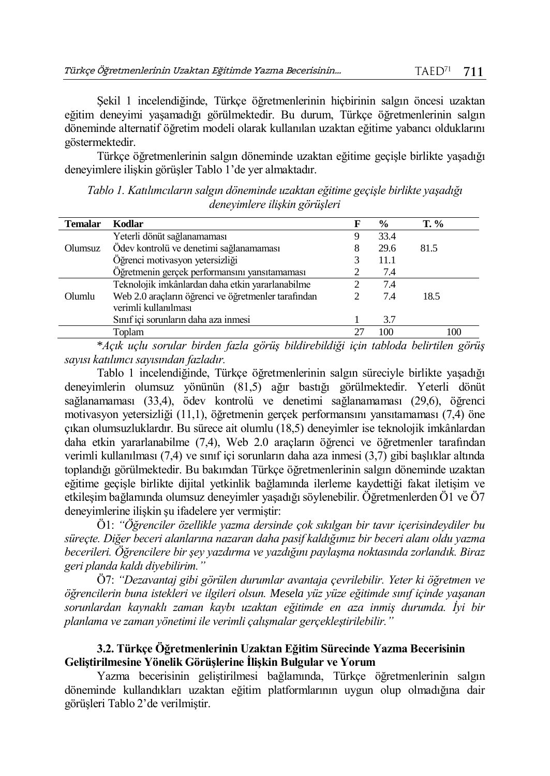Şekil 1 incelendiğinde, Türkçe öğretmenlerinin hiçbirinin salgın öncesi uzaktan eğitim deneyimi yaşamadığı görülmektedir. Bu durum, Türkçe öğretmenlerinin salgın döneminde alternatif öğretim modeli olarak kullanılan uzaktan eğitime yabancı olduklarını göstermektedir.

Türkçe öğretmenlerinin salgın döneminde uzaktan eğitime geçişle birlikte yaşadığı deneyimlere ilişkin görüşler Tablo 1'de yer almaktadır.

**Temalar Kodlar F % T. %** Olumsuz Yeterli dönüt sağlanamaması Ödev kontrolü ve denetimi sağlanamaması Öğrenci motivasyon yetersizliği Öğretmenin gerçek performansını yansıtamaması 9 8 3 2 33.4 29.6 11.1 7.4 81.5 Olumlu Teknolojik imkânlardan daha etkin yararlanabilme Web 2.0 araçların öğrenci ve öğretmenler tarafından verimli kullanılması Sınıf içi sorunların daha aza inmesi 2 2 1 7.4 7.4 3.7 18.5 Toplam 27 100 100

*Tablo 1. Katılımcıların salgın döneminde uzaktan eğitime geçişle birlikte yaşadığı deneyimlere ilişkin görüşleri*

\**Açık uçlu sorular birden fazla görüş bildirebildiği için tabloda belirtilen görüş sayısı katılımcı sayısından fazladır.*

Tablo 1 incelendiğinde, Türkçe öğretmenlerinin salgın süreciyle birlikte yaşadığı deneyimlerin olumsuz yönünün (81,5) ağır bastığı görülmektedir. Yeterli dönüt sağlanamaması (33,4), ödev kontrolü ve denetimi sağlanamaması (29,6), öğrenci motivasyon yetersizliği (11,1), öğretmenin gerçek performansını yansıtamaması (7,4) öne çıkan olumsuzluklardır. Bu sürece ait olumlu (18,5) deneyimler ise teknolojik imkânlardan daha etkin yararlanabilme (7,4), Web 2.0 araçların öğrenci ve öğretmenler tarafından verimli kullanılması (7,4) ve sınıf içi sorunların daha aza inmesi (3,7) gibi başlıklar altında toplandığı görülmektedir. Bu bakımdan Türkçe öğretmenlerinin salgın döneminde uzaktan eğitime geçişle birlikte dijital yetkinlik bağlamında ilerleme kaydettiği fakat iletişim ve etkileşim bağlamında olumsuz deneyimler yaşadığı söylenebilir. Öğretmenlerden Ö1 ve Ö7 deneyimlerine ilişkin şu ifadelere yer vermiştir:

Ö1: *"Öğrenciler özellikle yazma dersinde çok sıkılgan bir tavır içerisindeydiler bu süreçte. Diğer beceri alanlarına nazaran daha pasif kaldığımız bir beceri alanı oldu yazma becerileri. Öğrencilere bir şey yazdırma ve yazdığını paylaşma noktasında zorlandık. Biraz geri planda kaldı diyebilirim."*

Ö7: *"Dezavantaj gibi görülen durumlar avantaja çevrilebilir. Yeter ki öğretmen ve öğrencilerin buna istekleri ve ilgileri olsun. Mesela yüz yüze eğitimde sınıf içinde yaşanan sorunlardan kaynaklı zaman kaybı uzaktan eğitimde en aza inmiş durumda. İyi bir planlama ve zaman yönetimi ile verimli çalışmalar gerçekleştirilebilir."*

### **3.2. Türkçe Öğretmenlerinin Uzaktan Eğitim Sürecinde Yazma Becerisinin Geliştirilmesine Yönelik Görüşlerine İlişkin Bulgular ve Yorum**

Yazma becerisinin geliştirilmesi bağlamında, Türkçe öğretmenlerinin salgın döneminde kullandıkları uzaktan eğitim platformlarının uygun olup olmadığına dair görüşleri Tablo 2'de verilmiştir.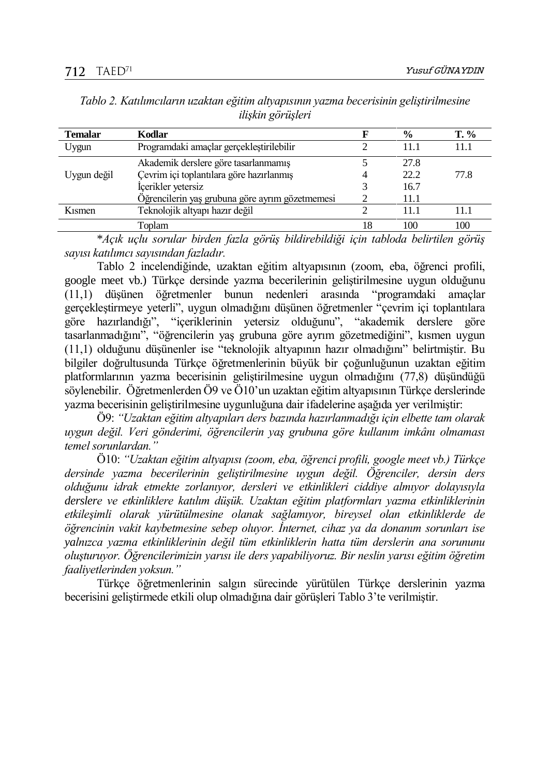| <b>Temalar</b> | Kodlar                                          |    | $\frac{0}{0}$ | $T. \%$ |
|----------------|-------------------------------------------------|----|---------------|---------|
| Uygun          | Programdaki amaçlar gerçekleştirilebilir        |    | 11.1          | 11.1    |
|                | Akademik derslere göre tasarlanmamış            |    | 27.8          |         |
| Uygun değil    | Çevrim içi toplantılara göre hazırlanmış        |    | 22.2          | 77.8    |
|                | İçerikler yetersiz                              |    | 16.7          |         |
|                | Öğrencilerin yaş grubuna göre ayrım gözetmemesi |    | 11.1          |         |
| $K1$ smen      | Teknolojik altyapı hazır değil                  |    | 11 1          | 11 1    |
|                | Toplam                                          | 18 | 100           | 100     |

*Tablo 2. Katılımcıların uzaktan eğitim altyapısının yazma becerisinin geliştirilmesine ilişkin görüşleri*

\**Açık uçlu sorular birden fazla görüş bildirebildiği için tabloda belirtilen görüş sayısı katılımcı sayısından fazladır.*

Tablo 2 incelendiğinde, uzaktan eğitim altyapısının (zoom, eba, öğrenci profili, google meet vb.) Türkçe dersinde yazma becerilerinin geliştirilmesine uygun olduğunu (11,1) düşünen öğretmenler bunun nedenleri arasında "programdaki amaçlar gerçekleştirmeye yeterli", uygun olmadığını düşünen öğretmenler "çevrim içi toplantılara göre hazırlandığı", "içeriklerinin yetersiz olduğunu", "akademik derslere göre tasarlanmadığını", "öğrencilerin yaş grubuna göre ayrım gözetmediğini", kısmen uygun (11,1) olduğunu düşünenler ise "teknolojik altyapının hazır olmadığını" belirtmiştir. Bu bilgiler doğrultusunda Türkçe öğretmenlerinin büyük bir çoğunluğunun uzaktan eğitim platformlarının yazma becerisinin geliştirilmesine uygun olmadığını (77,8) düşündüğü söylenebilir. Öğretmenlerden Ö9 ve Ö10'un uzaktan eğitim altyapısının Türkçe derslerinde yazma becerisinin geliştirilmesine uygunluğuna dair ifadelerine aşağıda yer verilmiştir:

Ö9: *"Uzaktan eğitim altyapıları ders bazında hazırlanmadığı için elbette tam olarak uygun değil. Veri gönderimi, öğrencilerin yaş grubuna göre kullanım imkânı olmaması temel sorunlardan."*

Ö10: *"Uzaktan eğitim altyapısı (zoom, eba, öğrenci profili, google meet vb.) Türkçe dersinde yazma becerilerinin geliştirilmesine uygun değil. Öğrenciler, dersin ders olduğunu idrak etmekte zorlanıyor, dersleri ve etkinlikleri ciddiye almıyor dolayısıyla derslere ve etkinliklere katılım düşük. Uzaktan eğitim platformları yazma etkinliklerinin etkileşimli olarak yürütülmesine olanak sağlamıyor, bireysel olan etkinliklerde de öğrencinin vakit kaybetmesine sebep oluyor. İnternet, cihaz ya da donanım sorunları ise yalnızca yazma etkinliklerinin değil tüm etkinliklerin hatta tüm derslerin ana sorununu oluşturuyor. Öğrencilerimizin yarısı ile ders yapabiliyoruz. Bir neslin yarısı eğitim öğretim faaliyetlerinden yoksun."*

Türkçe öğretmenlerinin salgın sürecinde yürütülen Türkçe derslerinin yazma becerisini geliştirmede etkili olup olmadığına dair görüşleri Tablo 3'te verilmiştir.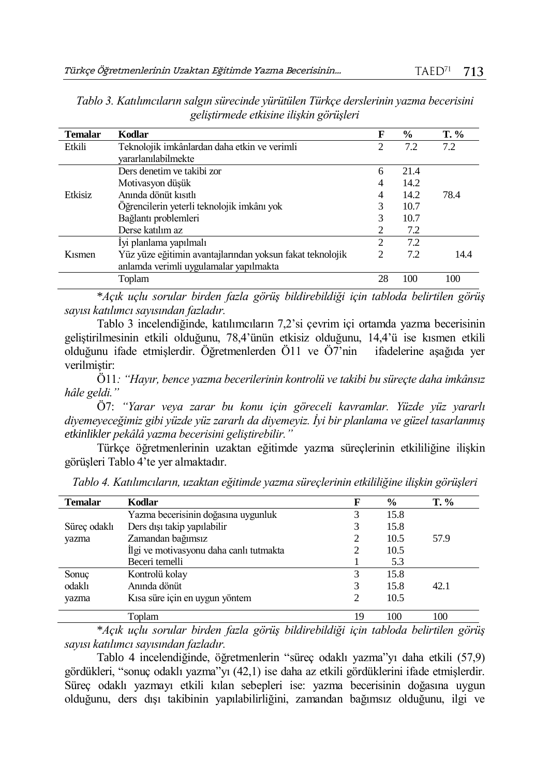| <b>Temalar</b> | Kodlar                                                    | F                           | $\frac{0}{0}$ | $T. \%$ |
|----------------|-----------------------------------------------------------|-----------------------------|---------------|---------|
| Etkili         | Teknolojik imkânlardan daha etkin ve verimli              | 2                           | 7.2           | 7.2     |
|                | yararlanılabilmekte                                       |                             |               |         |
|                | Ders denetim ve takibi zor                                | 6                           | 21.4          |         |
|                | Motivasyon düşük                                          | 4                           | 14.2          |         |
| Etkisiz        | Anında dönüt kısıtlı                                      | 4                           | 14.2          | 78.4    |
|                | Öğrencilerin yeterli teknolojik imkânı yok                | 3                           | 10.7          |         |
|                | Bağlantı problemleri                                      | 3                           | 10.7          |         |
|                | Derse katılım az                                          | $\mathcal{D}_{\mathcal{L}}$ | 7.2           |         |
|                | İyi planlama yapılmalı                                    | 2                           | 7.2           |         |
| Kismen         | Yüz yüze eğitimin avantajlarından yoksun fakat teknolojik | 2                           | 7.2           | 14.4    |
|                | anlamda verimli uygulamalar yapılmakta                    |                             |               |         |
|                | Toplam                                                    | 28                          | 100           | 100     |

*Tablo 3. Katılımcıların salgın sürecinde yürütülen Türkçe derslerinin yazma becerisini geliştirmede etkisine ilişkin görüşleri*

\**Açık uçlu sorular birden fazla görüş bildirebildiği için tabloda belirtilen görüş sayısı katılımcı sayısından fazladır.*

Tablo 3 incelendiğinde, katılımcıların 7,2'si çevrim içi ortamda yazma becerisinin geliştirilmesinin etkili olduğunu, 78,4'ünün etkisiz olduğunu, 14,4'ü ise kısmen etkili olduğunu ifade etmişlerdir. Öğretmenlerden Ö11 ve Ö7'nin ifadelerine aşağıda yer verilmiştir:

Ö11*: "Hayır, bence yazma becerilerinin kontrolü ve takibi bu süreçte daha imkânsız hâle geldi."*

Ö7: *"Yarar veya zarar bu konu için göreceli kavramlar. Yüzde yüz yararlı diyemeyeceğimiz gibi yüzde yüz zararlı da diyemeyiz. İyi bir planlama ve güzel tasarlanmış etkinlikler pekâlâ yazma becerisini geliştirebilir."* 

Türkçe öğretmenlerinin uzaktan eğitimde yazma süreçlerinin etkililiğine ilişkin görüşleri Tablo 4'te yer almaktadır.

| <b>Temalar</b> | Kodlar                                  |    | $\frac{6}{9}$ | $T. \%$ |
|----------------|-----------------------------------------|----|---------------|---------|
|                | Yazma becerisinin doğasına uygunluk     |    | 15.8          |         |
| Süreç odaklı   | Ders dışı takip yapılabilir             |    | 15.8          |         |
| yazma          | Zamandan bağımsız                       |    | 10.5          | 57.9    |
|                | Ilgi ve motivasyonu daha canlı tutmakta |    | 10.5          |         |
|                | Beceri temelli                          |    | 5.3           |         |
| Sonuç          | Kontrolü kolay                          | 3  | 15.8          |         |
| odaklı         | Anında dönüt                            |    | 15.8          | 42.1    |
| yazma          | Kısa süre için en uygun yöntem          |    | 10.5          |         |
|                | Toplam                                  | 19 | 100           | 100     |

*Tablo 4. Katılımcıların, uzaktan eğitimde yazma süreçlerinin etkililiğine ilişkin görüşleri*

\**Açık uçlu sorular birden fazla görüş bildirebildiği için tabloda belirtilen görüş sayısı katılımcı sayısından fazladır.*

Tablo 4 incelendiğinde, öğretmenlerin "süreç odaklı yazma"yı daha etkili (57,9) gördükleri, "sonuç odaklı yazma"yı (42,1) ise daha az etkili gördüklerini ifade etmişlerdir. Süreç odaklı yazmayı etkili kılan sebepleri ise: yazma becerisinin doğasına uygun olduğunu, ders dışı takibinin yapılabilirliğini, zamandan bağımsız olduğunu, ilgi ve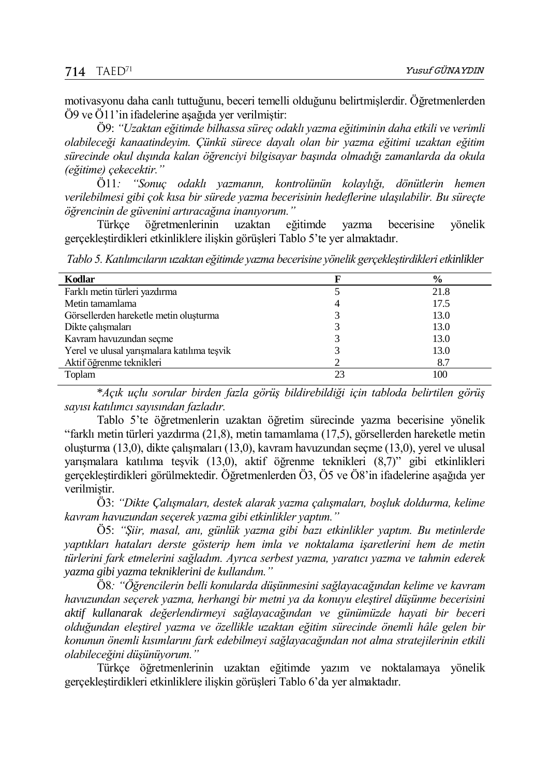motivasyonu daha canlı tuttuğunu, beceri temelli olduğunu belirtmişlerdir. Öğretmenlerden Ö9 ve Ö11'in ifadelerine aşağıda yer verilmiştir:

Ö9: *"Uzaktan eğitimde bilhassa süreç odaklı yazma eğitiminin daha etkili ve verimli olabileceği kanaatindeyim. Çünkü sürece dayalı olan bir yazma eğitimi uzaktan eğitim sürecinde okul dışında kalan öğrenciyi bilgisayar başında olmadığı zamanlarda da okula (eğitime) çekecektir."*

Ö11*: "Sonuç odaklı yazmanın, kontrolünün kolaylığı, dönütlerin hemen verilebilmesi gibi çok kısa bir sürede yazma becerisinin hedeflerine ulaşılabilir. Bu süreçte öğrencinin de güvenini artıracağına inanıyorum."*

Türkçe öğretmenlerinin uzaktan eğitimde yazma becerisine yönelik gerçekleştirdikleri etkinliklere ilişkin görüşleri Tablo 5'te yer almaktadır.

*Tablo 5. Katılımcıların uzaktan eğitimde yazma becerisine yönelik gerçekleştirdikleri etkinlikler*

| Kodlar                                      |    | $\frac{6}{9}$ |
|---------------------------------------------|----|---------------|
| Farklı metin türleri yazdırma               |    | 21.8          |
| Metin tamamlama                             |    | 17.5          |
| Görsellerden hareketle metin olusturma      |    | 13.0          |
| Dikte çalışmaları                           |    | 13.0          |
| Kavram havuzundan seçme                     |    | 13.0          |
| Yerel ve ulusal yarışmalara katılıma teşvik |    | 13.0          |
| Aktif öğrenme teknikleri                    |    | 8.7           |
| Toplam                                      | 23 | 100           |

\**Açık uçlu sorular birden fazla görüş bildirebildiği için tabloda belirtilen görüş sayısı katılımcı sayısından fazladır.*

Tablo 5'te öğretmenlerin uzaktan öğretim sürecinde yazma becerisine yönelik "farklı metin türleri yazdırma (21,8), metin tamamlama (17,5), görsellerden hareketle metin oluşturma (13,0), dikte çalışmaları (13,0), kavram havuzundan seçme (13,0), yerel ve ulusal yarışmalara katılıma teşvik (13,0), aktif öğrenme teknikleri (8,7)" gibi etkinlikleri gerçekleştirdikleri görülmektedir. Öğretmenlerden Ö3, Ö5 ve Ö8'in ifadelerine aşağıda yer verilmiştir.

Ö3: *"Dikte Çalışmaları, destek alarak yazma çalışmaları, boşluk doldurma, kelime kavram havuzundan seçerek yazma gibi etkinlikler yaptım."*

Ö5: *"Şiir, masal, anı, günlük yazma gibi bazı etkinlikler yaptım. Bu metinlerde yaptıkları hataları derste gösterip hem imla ve noktalama işaretlerini hem de metin türlerini fark etmelerini sağladım. Ayrıca serbest yazma, yaratıcı yazma ve tahmin ederek yazma gibi yazma tekniklerini de kullandım."*

Ö8*: "Öğrencilerin belli konularda düşünmesini sağlayacağından kelime ve kavram havuzundan seçerek yazma, herhangi bir metni ya da konuyu eleştirel düşünme becerisini aktif kullanarak değerlendirmeyi sağlayacağından ve günümüzde hayati bir beceri olduğundan eleştirel yazma ve özellikle uzaktan eğitim sürecinde önemli hâle gelen bir konunun önemli kısımlarını fark edebilmeyi sağlayacağından not alma stratejilerinin etkili olabileceğini düşünüyorum."*

Türkçe öğretmenlerinin uzaktan eğitimde yazım ve noktalamaya yönelik gerçekleştirdikleri etkinliklere ilişkin görüşleri Tablo 6'da yer almaktadır.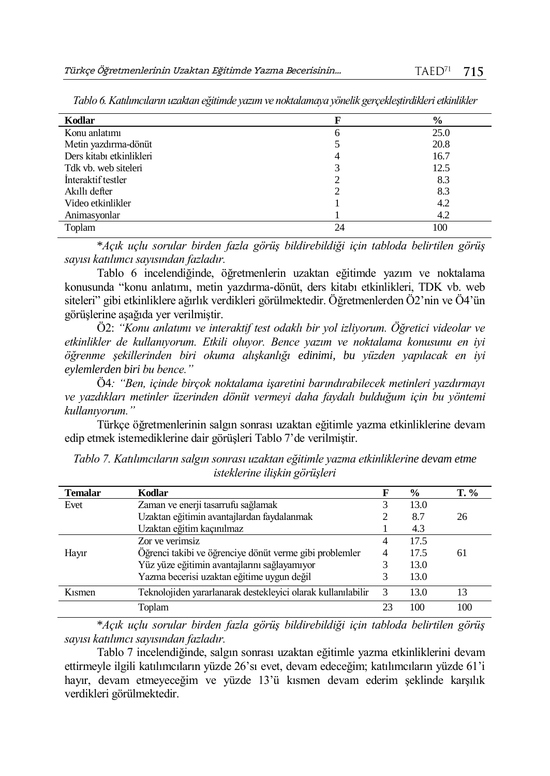|    | $\frac{0}{0}$ |
|----|---------------|
| 6  | 25.0          |
|    | 20.8          |
| 4  | 16.7          |
|    | 12.5          |
|    | 8.3           |
|    | 8.3           |
|    | 4.2           |
|    | 4.2           |
| 24 | 100           |
|    |               |

*Tablo 6. Katılımcıların uzaktan eğitimde yazım ve noktalamaya yönelik gerçekleştirdikleri etkinlikler*

\**Açık uçlu sorular birden fazla görüş bildirebildiği için tabloda belirtilen görüş sayısı katılımcı sayısından fazladır.*

Tablo 6 incelendiğinde, öğretmenlerin uzaktan eğitimde yazım ve noktalama konusunda "konu anlatımı, metin yazdırma-dönüt, ders kitabı etkinlikleri, TDK vb. web siteleri" gibi etkinliklere ağırlık verdikleri görülmektedir. Öğretmenlerden Ö2'nin ve Ö4'ün görüşlerine aşağıda yer verilmiştir.

Ö2: *"Konu anlatımı ve interaktif test odaklı bir yol izliyorum. Öğretici videolar ve etkinlikler de kullanıyorum. Etkili oluyor. Bence yazım ve noktalama konusunu en iyi öğrenme şekillerinden biri okuma alışkanlığı edinimi, bu yüzden yapılacak en iyi eylemlerden biri bu bence."*

Ö4*: "Ben, içinde birçok noktalama işaretini barındırabilecek metinleri yazdırmayı ve yazdıkları metinler üzerinden dönüt vermeyi daha faydalı bulduğum için bu yöntemi kullanıyorum."*

Türkçe öğretmenlerinin salgın sonrası uzaktan eğitimle yazma etkinliklerine devam edip etmek istemediklerine dair görüşleri Tablo 7'de verilmiştir.

| <b>Temalar</b> | Kodlar                                                       |    | $\frac{6}{9}$ | $T. \%$ |
|----------------|--------------------------------------------------------------|----|---------------|---------|
| Evet           | Zaman ve enerji tasarrufu sağlamak                           |    | 13.0          |         |
|                | Uzaktan eğitimin avantajlardan faydalanmak                   |    | 8.7           | 26      |
|                | Uzaktan eğitim kaçınılmaz                                    |    | 4.3           |         |
|                | Zor ve verimsiz                                              | 4  | 17.5          |         |
| Hayır          | Öğrenci takibi ve öğrenciye dönüt verme gibi problemler      | 4  | 17.5          | 61      |
|                | Yüz yüze eğitimin avantajlarını sağlayamıyor                 |    | 13.0          |         |
|                | Yazma becerisi uzaktan eğitime uygun değil                   |    | 13.0          |         |
| Kismen         | Teknolojiden yararlanarak destekleyici olarak kullanılabilir | -3 | 13.0          | 13      |
|                | Toplam                                                       | 23 | 100           | 100     |

*Tablo 7. Katılımcıların salgın sonrası uzaktan eğitimle yazma etkinliklerine devam etme isteklerine ilişkin görüşleri*

\**Açık uçlu sorular birden fazla görüş bildirebildiği için tabloda belirtilen görüş sayısı katılımcı sayısından fazladır.*

Tablo 7 incelendiğinde, salgın sonrası uzaktan eğitimle yazma etkinliklerini devam ettirmeyle ilgili katılımcıların yüzde 26'sı evet, devam edeceğim; katılımcıların yüzde 61'i hayır, devam etmeyeceğim ve yüzde 13'ü kısmen devam ederim şeklinde karşılık verdikleri görülmektedir.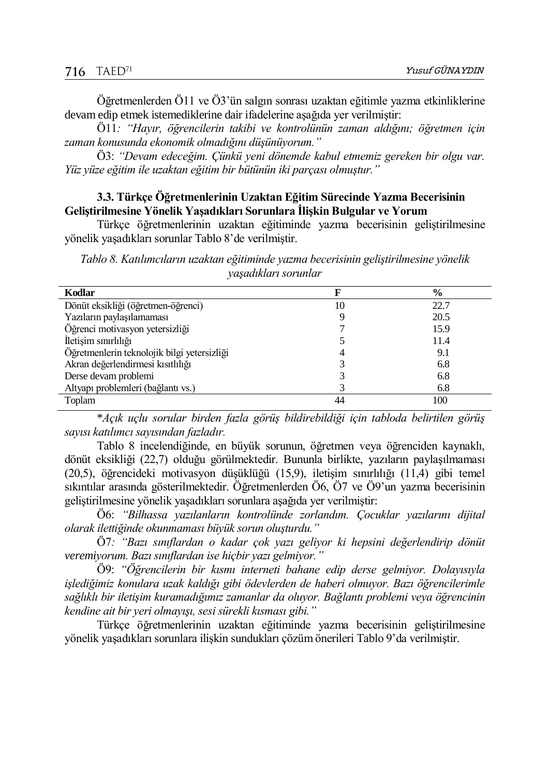Öğretmenlerden Ö11 ve Ö3'ün salgın sonrası uzaktan eğitimle yazma etkinliklerine devam edip etmek istemediklerine dair ifadelerine aşağıda yer verilmiştir:

Ö11*: "Hayır, öğrencilerin takibi ve kontrolünün zaman aldığını; öğretmen için zaman konusunda ekonomik olmadığını düşünüyorum."*

Ö3: *"Devam edeceğim. Çünkü yeni dönemde kabul etmemiz gereken bir olgu var. Yüz yüze eğitim ile uzaktan eğitim bir bütünün iki parçası olmuştur."*

### **3.3. Türkçe Öğretmenlerinin Uzaktan Eğitim Sürecinde Yazma Becerisinin Geliştirilmesine Yönelik Yaşadıkları Sorunlara İlişkin Bulgular ve Yorum**

Türkçe öğretmenlerinin uzaktan eğitiminde yazma becerisinin geliştirilmesine yönelik yaşadıkları sorunlar Tablo 8'de verilmiştir.

*Tablo 8. Katılımcıların uzaktan eğitiminde yazma becerisinin geliştirilmesine yönelik yaşadıkları sorunlar*

|    | $\frac{0}{0}$ |
|----|---------------|
| 10 | 22.7          |
|    | 20.5          |
|    | 15.9          |
|    | 11.4          |
|    | 9.1           |
|    | 6.8           |
|    | 6.8           |
|    | 6.8           |
| 44 | 100           |
|    |               |

\**Açık uçlu sorular birden fazla görüş bildirebildiği için tabloda belirtilen görüş sayısı katılımcı sayısından fazladır.*

Tablo 8 incelendiğinde, en büyük sorunun, öğretmen veya öğrenciden kaynaklı, dönüt eksikliği (22,7) olduğu görülmektedir. Bununla birlikte, yazıların paylaşılmaması (20,5), öğrencideki motivasyon düşüklüğü (15,9), iletişim sınırlılığı (11,4) gibi temel sıkıntılar arasında gösterilmektedir. Öğretmenlerden Ö6, Ö7 ve Ö9'un yazma becerisinin geliştirilmesine yönelik yaşadıkları sorunlara aşağıda yer verilmiştir:

Ö6: *"Bilhassa yazılanların kontrolünde zorlandım. Çocuklar yazılarını dijital olarak ilettiğinde okunmaması büyük sorun oluşturdu."*

Ö7*: "Bazı sınıflardan o kadar çok yazı geliyor ki hepsini değerlendirip dönüt veremiyorum. Bazı sınıflardan ise hiçbir yazı gelmiyor."*

Ö9: *"Öğrencilerin bir kısmı interneti bahane edip derse gelmiyor. Dolayısıyla işlediğimiz konulara uzak kaldığı gibi ödevlerden de haberi olmuyor. Bazı öğrencilerimle sağlıklı bir iletişim kuramadığımız zamanlar da oluyor. Bağlantı problemi veya öğrencinin kendine ait bir yeri olmayışı, sesi sürekli kısması gibi."*

Türkçe öğretmenlerinin uzaktan eğitiminde yazma becerisinin geliştirilmesine yönelik yaşadıkları sorunlara ilişkin sundukları çözüm önerileri Tablo 9'da verilmiştir.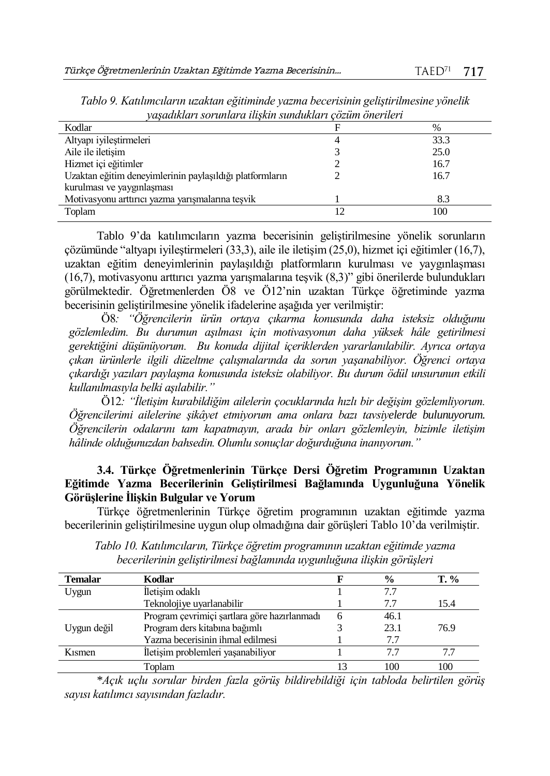| Kodlar                                                   | $\%$ |
|----------------------------------------------------------|------|
| Altyapı iyileştirmeleri                                  | 33.3 |
| Aile ile iletisim                                        | 25.0 |
| Hizmet içi eğitimler                                     | 16.7 |
| Uzaktan eğitim deneyimlerinin paylaşıldığı platformların | 16.7 |
| kurulması ve yaygınlaşması                               |      |
| Motivasyonu arttırıcı yazma yarışmalarına teşvik         | 8.3  |
| Toplam                                                   | 100  |

*Tablo 9. Katılımcıların uzaktan eğitiminde yazma becerisinin geliştirilmesine yönelik yaşadıkları sorunlara ilişkin sundukları çözüm önerileri*

Tablo 9'da katılımcıların yazma becerisinin geliştirilmesine yönelik sorunların çözümünde "altyapı iyileştirmeleri (33,3), aile ile iletişim (25,0), hizmet içi eğitimler (16,7), uzaktan eğitim deneyimlerinin paylaşıldığı platformların kurulması ve yaygınlaşması (16,7), motivasyonu arttırıcı yazma yarışmalarına teşvik (8,3)" gibi önerilerde bulundukları görülmektedir. Öğretmenlerden Ö8 ve Ö12'nin uzaktan Türkçe öğretiminde yazma becerisinin geliştirilmesine yönelik ifadelerine aşağıda yer verilmiştir:

Ö8*: "Öğrencilerin ürün ortaya çıkarma konusunda daha isteksiz olduğunu gözlemledim. Bu durumun aşılması için motivasyonun daha yüksek hâle getirilmesi gerektiğini düşünüyorum. Bu konuda dijital içeriklerden yararlanılabilir. Ayrıca ortaya çıkan ürünlerle ilgili düzeltme çalışmalarında da sorun yaşanabiliyor. Öğrenci ortaya çıkardığı yazıları paylaşma konusunda isteksiz olabiliyor. Bu durum ödül unsurunun etkili kullanılmasıyla belki aşılabilir."*

Ö12*: "İletişim kurabildiğim ailelerin çocuklarında hızlı bir değişim gözlemliyorum. Öğrencilerimi ailelerine şikâyet etmiyorum ama onlara bazı tavsiyelerde bulunuyorum. Öğrencilerin odalarını tam kapatmayın, arada bir onları gözlemleyin, bizimle iletişim hâlinde olduğunuzdan bahsedin. Olumlu sonuçlar doğurduğuna inanıyorum."*

## **3.4. Türkçe Öğretmenlerinin Türkçe Dersi Öğretim Programının Uzaktan Eğitimde Yazma Becerilerinin Geliştirilmesi Bağlamında Uygunluğuna Yönelik Görüşlerine İlişkin Bulgular ve Yorum**

Türkçe öğretmenlerinin Türkçe öğretim programının uzaktan eğitimde yazma becerilerinin geliştirilmesine uygun olup olmadığına dair görüşleri Tablo 10'da verilmiştir.

| <b>Temalar</b> | Kodlar                                       | $\frac{0}{0}$ | T. % |
|----------------|----------------------------------------------|---------------|------|
| Uygun          | İletişim odaklı                              | 7.7           |      |
|                | Teknolojiye uyarlanabilir                    | 7.7           | 15.4 |
|                | Program çevrimiçi şartlara göre hazırlanmadı | 46.1          |      |
| Uygun değil    | Program ders kitabına bağımlı                | 23.1          | 76.9 |
|                | Yazma becerisinin ihmal edilmesi             | 7.7           |      |
| Kismen         | İletişim problemleri yaşanabiliyor           | 77            |      |
|                | Toplam                                       |               | 100  |

*Tablo 10. Katılımcıların, Türkçe öğretim programının uzaktan eğitimde yazma becerilerinin geliştirilmesi bağlamında uygunluğuna ilişkin görüşleri*

\**Açık uçlu sorular birden fazla görüş bildirebildiği için tabloda belirtilen görüş sayısı katılımcı sayısından fazladır.*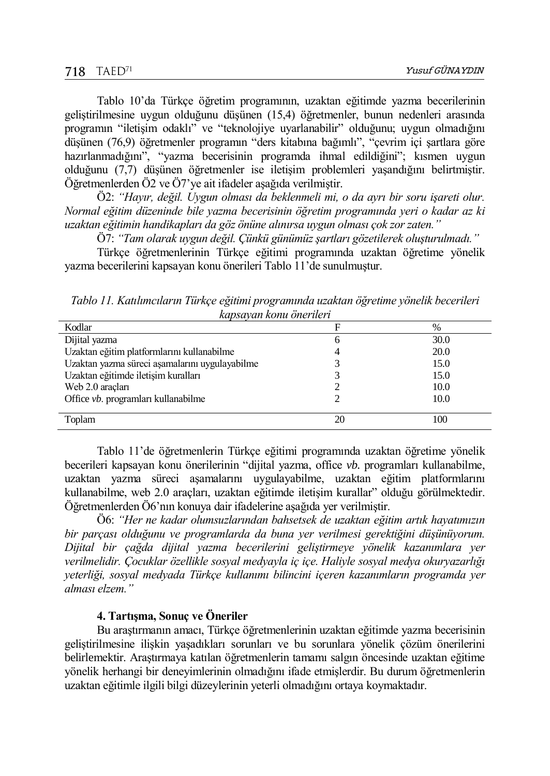Tablo 10'da Türkçe öğretim programının, uzaktan eğitimde yazma becerilerinin geliştirilmesine uygun olduğunu düşünen (15,4) öğretmenler, bunun nedenleri arasında programın "iletişim odaklı" ve "teknolojiye uyarlanabilir" olduğunu; uygun olmadığını düşünen (76,9) öğretmenler programın "ders kitabına bağımlı", "çevrim içi şartlara göre hazırlanmadığını", "yazma becerisinin programda ihmal edildiğini"; kısmen uygun olduğunu (7,7) düşünen öğretmenler ise iletişim problemleri yaşandığını belirtmiştir. Öğretmenlerden Ö2 ve Ö7'ye ait ifadeler aşağıda verilmiştir.

Ö2: *"Hayır, değil. Uygun olması da beklenmeli mi, o da ayrı bir soru işareti olur. Normal eğitim düzeninde bile yazma becerisinin öğretim programında yeri o kadar az ki uzaktan eğitimin handikapları da göz önüne alınırsa uygun olması çok zor zaten."*

Ö7: *"Tam olarak uygun değil. Çünkü günümüz şartları gözetilerek oluşturulmadı."*

Türkçe öğretmenlerinin Türkçe eğitimi programında uzaktan öğretime yönelik yazma becerilerini kapsayan konu önerileri Tablo 11'de sunulmuştur.

*Tablo 11. Katılımcıların Türkçe eğitimi programında uzaktan öğretime yönelik becerileri kapsayan konu önerileri*

| kapsavan konu onerueri                         |    |      |  |
|------------------------------------------------|----|------|--|
| Kodlar                                         | F  | %    |  |
| Dijital yazma                                  | 6  | 30.0 |  |
| Uzaktan eğitim platformlarını kullanabilme     |    | 20.0 |  |
| Uzaktan yazma süreci aşamalarını uygulayabilme |    | 15.0 |  |
| Uzaktan eğitimde iletişim kuralları            |    | 15.0 |  |
| Web 2.0 araclari                               |    | 10.0 |  |
| Office vb. programları kullanabilme            |    | 10.0 |  |
| Toplam                                         | 20 | 100  |  |

Tablo 11'de öğretmenlerin Türkçe eğitimi programında uzaktan öğretime yönelik becerileri kapsayan konu önerilerinin "dijital yazma, office *vb.* programları kullanabilme, uzaktan yazma süreci aşamalarını uygulayabilme, uzaktan eğitim platformlarını kullanabilme, web 2.0 araçları, uzaktan eğitimde iletişim kurallar" olduğu görülmektedir. Öğretmenlerden Ö6'nın konuya dair ifadelerine aşağıda yer verilmiştir.

Ö6: *"Her ne kadar olumsuzlarından bahsetsek de uzaktan eğitim artık hayatımızın bir parçası olduğunu ve programlarda da buna yer verilmesi gerektiğini düşünüyorum. Dijital bir çağda dijital yazma becerilerini geliştirmeye yönelik kazanımlara yer verilmelidir. Çocuklar özellikle sosyal medyayla iç içe. Haliyle sosyal medya okuryazarlığı yeterliği, sosyal medyada Türkçe kullanımı bilincini içeren kazanımların programda yer alması elzem."*

#### **4. Tartışma, Sonuç ve Öneriler**

Bu araştırmanın amacı, Türkçe öğretmenlerinin uzaktan eğitimde yazma becerisinin geliştirilmesine ilişkin yaşadıkları sorunları ve bu sorunlara yönelik çözüm önerilerini belirlemektir. Araştırmaya katılan öğretmenlerin tamamı salgın öncesinde uzaktan eğitime yönelik herhangi bir deneyimlerinin olmadığını ifade etmişlerdir. Bu durum öğretmenlerin uzaktan eğitimle ilgili bilgi düzeylerinin yeterli olmadığını ortaya koymaktadır.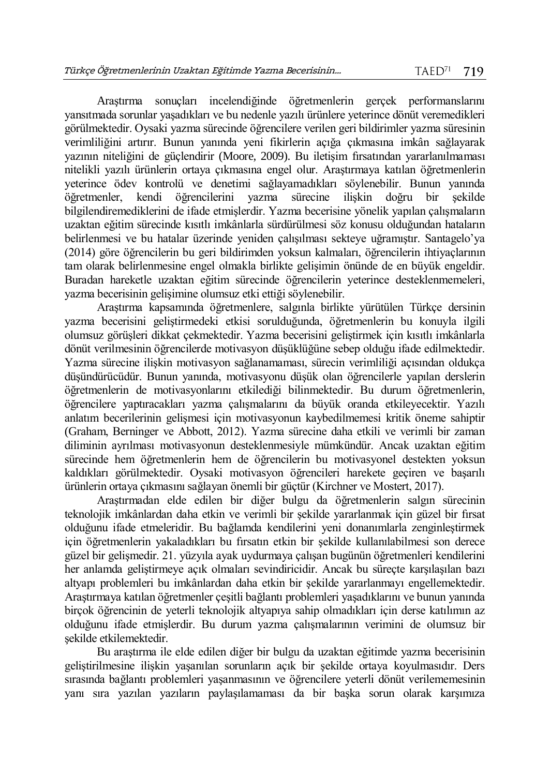Araştırma sonuçları incelendiğinde öğretmenlerin gerçek performanslarını yansıtmada sorunlar yaşadıkları ve bu nedenle yazılı ürünlere yeterince dönüt veremedikleri görülmektedir. Oysaki yazma sürecinde öğrencilere verilen geri bildirimler yazma süresinin verimliliğini artırır. Bunun yanında yeni fikirlerin açığa çıkmasına imkân sağlayarak yazının niteliğini de güçlendirir (Moore, 2009). Bu iletisim firsatından yararlanılmaması nitelikli yazılı ürünlerin ortaya çıkmasına engel olur. Araştırmaya katılan öğretmenlerin yeterince ödev kontrolü ve denetimi sağlayamadıkları söylenebilir. Bunun yanında öğretmenler, kendi öğrencilerini yazma sürecine ilişkin doğru bir şekilde bilgilendiremediklerini de ifade etmişlerdir. Yazma becerisine yönelik yapılan çalışmaların uzaktan eğitim sürecinde kısıtlı imkânlarla sürdürülmesi söz konusu olduğundan hataların belirlenmesi ve bu hatalar üzerinde yeniden çalışılması sekteye uğramıştır. Santagelo'ya (2014) göre öğrencilerin bu geri bildirimden yoksun kalmaları, öğrencilerin ihtiyaçlarının tam olarak belirlenmesine engel olmakla birlikte gelişimin önünde de en büyük engeldir. Buradan hareketle uzaktan eğitim sürecinde öğrencilerin yeterince desteklenmemeleri, yazma becerisinin gelişimine olumsuz etki ettiği söylenebilir.

Araştırma kapsamında öğretmenlere, salgınla birlikte yürütülen Türkçe dersinin yazma becerisini geliştirmedeki etkisi sorulduğunda, öğretmenlerin bu konuyla ilgili olumsuz görüşleri dikkat çekmektedir. Yazma becerisini geliştirmek için kısıtlı imkânlarla dönüt verilmesinin öğrencilerde motivasyon düşüklüğüne sebep olduğu ifade edilmektedir. Yazma sürecine ilişkin motivasyon sağlanamaması, sürecin verimliliği açısından oldukça düşündürücüdür. Bunun yanında, motivasyonu düşük olan öğrencilerle yapılan derslerin öğretmenlerin de motivasyonlarını etkilediği bilinmektedir. Bu durum öğretmenlerin, öğrencilere yaptıracakları yazma çalışmalarını da büyük oranda etkileyecektir. Yazılı anlatım becerilerinin gelişmesi için motivasyonun kaybedilmemesi kritik öneme sahiptir (Graham, Berninger ve Abbott, 2012). Yazma sürecine daha etkili ve verimli bir zaman diliminin ayrılması motivasyonun desteklenmesiyle mümkündür. Ancak uzaktan eğitim sürecinde hem öğretmenlerin hem de öğrencilerin bu motivasyonel destekten yoksun kaldıkları görülmektedir. Oysaki motivasyon öğrencileri harekete geçiren ve başarılı ürünlerin ortaya çıkmasını sağlayan önemli bir güçtür (Kirchner ve Mostert, 2017).

Araştırmadan elde edilen bir diğer bulgu da öğretmenlerin salgın sürecinin teknolojik imkânlardan daha etkin ve verimli bir şekilde yararlanmak için güzel bir fırsat olduğunu ifade etmeleridir. Bu bağlamda kendilerini yeni donanımlarla zenginleştirmek için öğretmenlerin yakaladıkları bu fırsatın etkin bir şekilde kullanılabilmesi son derece güzel bir gelişmedir. 21. yüzyıla ayak uydurmaya çalışan bugünün öğretmenleri kendilerini her anlamda geliştirmeye açık olmaları sevindiricidir. Ancak bu süreçte karşılaşılan bazı altyapı problemleri bu imkânlardan daha etkin bir şekilde yararlanmayı engellemektedir. Araştırmaya katılan öğretmenler çeşitli bağlantı problemleri yaşadıklarını ve bunun yanında birçok öğrencinin de yeterli teknolojik altyapıya sahip olmadıkları için derse katılımın az olduğunu ifade etmişlerdir. Bu durum yazma çalışmalarının verimini de olumsuz bir şekilde etkilemektedir.

Bu araştırma ile elde edilen diğer bir bulgu da uzaktan eğitimde yazma becerisinin geliştirilmesine ilişkin yaşanılan sorunların açık bir şekilde ortaya koyulmasıdır. Ders sırasında bağlantı problemleri yaşanmasının ve öğrencilere yeterli dönüt verilememesinin yanı sıra yazılan yazıların paylaşılamaması da bir başka sorun olarak karşımıza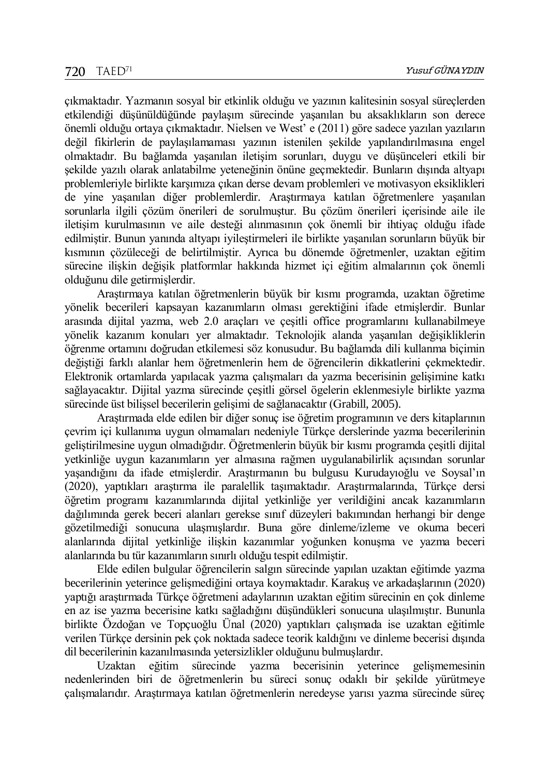çıkmaktadır. Yazmanın sosyal bir etkinlik olduğu ve yazının kalitesinin sosyal süreçlerden etkilendiği düşünüldüğünde paylaşım sürecinde yaşanılan bu aksaklıkların son derece önemli olduğu ortaya çıkmaktadır. Nielsen ve West' e (2011) göre sadece yazılan yazıların değil fikirlerin de paylaşılamaması yazının istenilen şekilde yapılandırılmasına engel olmaktadır. Bu bağlamda yaşanılan iletişim sorunları, duygu ve düşünceleri etkili bir şekilde yazılı olarak anlatabilme yeteneğinin önüne geçmektedir. Bunların dışında altyapı problemleriyle birlikte karşımıza çıkan derse devam problemleri ve motivasyon eksiklikleri de yine yaşanılan diğer problemlerdir. Araştırmaya katılan öğretmenlere yaşanılan sorunlarla ilgili çözüm önerileri de sorulmuştur. Bu çözüm önerileri içerisinde aile ile iletişim kurulmasının ve aile desteği alınmasının çok önemli bir ihtiyaç olduğu ifade edilmiştir. Bunun yanında altyapı iyileştirmeleri ile birlikte yaşanılan sorunların büyük bir kısmının çözüleceği de belirtilmiştir. Ayrıca bu dönemde öğretmenler, uzaktan eğitim sürecine ilişkin değişik platformlar hakkında hizmet içi eğitim almalarının çok önemli olduğunu dile getirmişlerdir.

Araştırmaya katılan öğretmenlerin büyük bir kısmı programda, uzaktan öğretime yönelik becerileri kapsayan kazanımların olması gerektiğini ifade etmişlerdir. Bunlar arasında dijital yazma, web 2.0 araçları ve çeşitli office programlarını kullanabilmeye yönelik kazanım konuları yer almaktadır. Teknolojik alanda yaşanılan değişikliklerin öğrenme ortamını doğrudan etkilemesi söz konusudur. Bu bağlamda dili kullanma biçimin değiştiği farklı alanlar hem öğretmenlerin hem de öğrencilerin dikkatlerini çekmektedir. Elektronik ortamlarda yapılacak yazma çalışmaları da yazma becerisinin gelişimine katkı sağlayacaktır. Dijital yazma sürecinde çeşitli görsel ögelerin eklenmesiyle birlikte yazma sürecinde üst bilişsel becerilerin gelişimi de sağlanacaktır (Grabill, 2005).

Araştırmada elde edilen bir diğer sonuç ise öğretim programının ve ders kitaplarının çevrim içi kullanıma uygun olmamaları nedeniyle Türkçe derslerinde yazma becerilerinin geliştirilmesine uygun olmadığıdır. Öğretmenlerin büyük bir kısmı programda çeşitli dijital yetkinliğe uygun kazanımların yer almasına rağmen uygulanabilirlik açısından sorunlar yaşandığını da ifade etmişlerdir. Araştırmanın bu bulgusu Kurudayıoğlu ve Soysal'ın (2020), yaptıkları araştırma ile paralellik taşımaktadır. Araştırmalarında, Türkçe dersi öğretim programı kazanımlarında dijital yetkinliğe yer verildiğini ancak kazanımların dağılımında gerek beceri alanları gerekse sınıf düzeyleri bakımından herhangi bir denge gözetilmediği sonucuna ulaşmışlardır. Buna göre dinleme/izleme ve okuma beceri alanlarında dijital yetkinliğe ilişkin kazanımlar yoğunken konuşma ve yazma beceri alanlarında bu tür kazanımların sınırlı olduğu tespit edilmiştir.

Elde edilen bulgular öğrencilerin salgın sürecinde yapılan uzaktan eğitimde yazma becerilerinin yeterince gelişmediğini ortaya koymaktadır. Karakuş ve arkadaşlarının (2020) yaptığı araştırmada Türkçe öğretmeni adaylarının uzaktan eğitim sürecinin en çok dinleme en az ise yazma becerisine katkı sağladığını düşündükleri sonucuna ulaşılmıştır. Bununla birlikte Özdoğan ve Topçuoğlu Ünal (2020) yaptıkları çalışmada ise uzaktan eğitimle verilen Türkçe dersinin pek çok noktada sadece teorik kaldığını ve dinleme becerisi dışında dil becerilerinin kazanılmasında yetersizlikler olduğunu bulmuşlardır.<br>Uzaktan eğitim sürecinde yazma becerisinin veteri

Uzaktan eğitim sürecinde yazma becerisinin yeterince gelişmemesinin nedenlerinden biri de öğretmenlerin bu süreci sonuç odaklı bir şekilde yürütmeye çalışmalarıdır. Araştırmaya katılan öğretmenlerin neredeyse yarısı yazma sürecinde süreç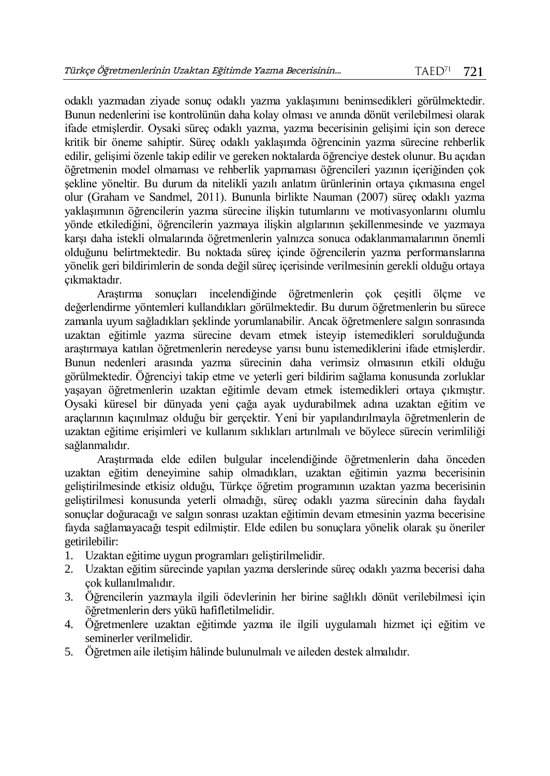odaklı yazmadan ziyade sonuç odaklı yazma yaklaşımını benimsedikleri görülmektedir. Bunun nedenlerini ise kontrolünün daha kolay olması ve anında dönüt verilebilmesi olarak ifade etmişlerdir. Oysaki süreç odaklı yazma, yazma becerisinin gelişimi için son derece kritik bir öneme sahiptir. Süreç odaklı yaklaşımda öğrencinin yazma sürecine rehberlik edilir, gelişimi özenle takip edilir ve gereken noktalarda öğrenciye destek olunur. Bu açıdan öğretmenin model olmaması ve rehberlik yapmaması öğrencileri yazının içeriğinden çok şekline yöneltir. Bu durum da nitelikli yazılı anlatım ürünlerinin ortaya çıkmasına engel olur (Graham ve Sandmel, 2011). Bununla birlikte Nauman (2007) süreç odaklı yazma yaklaşımının öğrencilerin yazma sürecine ilişkin tutumlarını ve motivasyonlarını olumlu yönde etkilediğini, öğrencilerin yazmaya ilişkin algılarının şekillenmesinde ve yazmaya karşı daha istekli olmalarında öğretmenlerin yalnızca sonuca odaklanmamalarının önemli olduğunu belirtmektedir. Bu noktada süreç içinde öğrencilerin yazma performanslarına yönelik geri bildirimlerin de sonda değil süreç içerisinde verilmesinin gerekli olduğu ortaya çıkmaktadır.

Araştırma sonuçları incelendiğinde öğretmenlerin çok çeşitli ölçme ve değerlendirme yöntemleri kullandıkları görülmektedir. Bu durum öğretmenlerin bu sürece zamanla uyum sağladıkları şeklinde yorumlanabilir. Ancak öğretmenlere salgın sonrasında uzaktan eğitimle yazma sürecine devam etmek isteyip istemedikleri sorulduğunda araştırmaya katılan öğretmenlerin neredeyse yarısı bunu istemediklerini ifade etmişlerdir. Bunun nedenleri arasında yazma sürecinin daha verimsiz olmasının etkili olduğu görülmektedir. Öğrenciyi takip etme ve yeterli geri bildirim sağlama konusunda zorluklar yaşayan öğretmenlerin uzaktan eğitimle devam etmek istemedikleri ortaya çıkmıştır. Oysaki küresel bir dünyada yeni çağa ayak uydurabilmek adına uzaktan eğitim ve araçlarının kaçınılmaz olduğu bir gerçektir. Yeni bir yapılandırılmayla öğretmenlerin de uzaktan eğitime erişimleri ve kullanım sıklıkları artırılmalı ve böylece sürecin verimliliği sağlanmalıdır.

Araştırmada elde edilen bulgular incelendiğinde öğretmenlerin daha önceden uzaktan eğitim deneyimine sahip olmadıkları, uzaktan eğitimin yazma becerisinin geliştirilmesinde etkisiz olduğu, Türkçe öğretim programının uzaktan yazma becerisinin geliştirilmesi konusunda yeterli olmadığı, süreç odaklı yazma sürecinin daha faydalı sonuçlar doğuracağı ve salgın sonrası uzaktan eğitimin devam etmesinin yazma becerisine fayda sağlamayacağı tespit edilmiştir. Elde edilen bu sonuçlara yönelik olarak şu öneriler getirilebilir:

- 1. Uzaktan eğitime uygun programları geliştirilmelidir.
- 2. Uzaktan eğitim sürecinde yapılan yazma derslerinde süreç odaklı yazma becerisi daha çok kullanılmalıdır.
- 3. Öğrencilerin yazmayla ilgili ödevlerinin her birine sağlıklı dönüt verilebilmesi için öğretmenlerin ders yükü hafifletilmelidir.
- 4. Öğretmenlere uzaktan eğitimde yazma ile ilgili uygulamalı hizmet içi eğitim ve seminerler verilmelidir.
- 5. Öğretmen aile iletişim hâlinde bulunulmalı ve aileden destek almalıdır.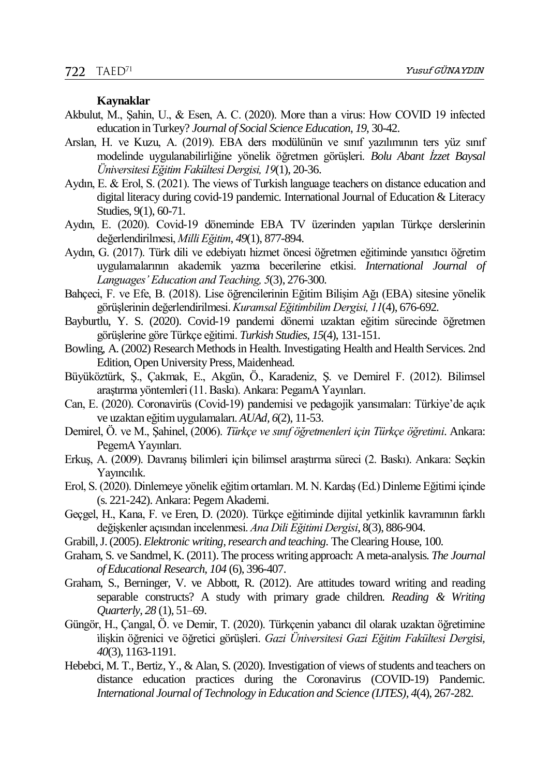#### **Kaynaklar**

- Akbulut, M., Şahin, U., & Esen, A. C. (2020). More than a virus: How COVID 19 infected education in Turkey? *Journal of Social Science Education*, *19*, 30-42.
- Arslan, H. ve Kuzu, A. (2019). EBA ders modülünün ve sınıf yazılımının ters yüz sınıf modelinde uygulanabilirliğine yönelik öğretmen görüşleri. *Bolu Abant İzzet Baysal Üniversitesi Eğitim Fakültesi Dergisi, 19*(1), 20-36.
- Aydın, E. & Erol, S. (2021). The views of Turkish language teachers on distance education and digital literacy during covid-19 pandemic. International Journal of Education & Literacy Studies, 9(1), 60-71.
- Aydın, E. (2020). Covid-19 döneminde EBA TV üzerinden yapılan Türkçe derslerinin değerlendirilmesi, *Milli Eğitim*, *49*(1), 877-894.
- Aydın, G. (2017). Türk dili ve edebiyatı hizmet öncesi öğretmen eğitiminde yansıtıcı öğretim uygulamalarının akademik yazma becerilerine etkisi. *International Journal of Languages' Education and Teaching, 5*(3), 276-300.
- Bahçeci, F. ve Efe, B. (2018). Lise öğrencilerinin Eğitim Bilişim Ağı (EBA) sitesine yönelik görüşlerinin değerlendirilmesi. *Kuramsal Eğitimbilim Dergisi, 11*(4), 676-692.
- Bayburtlu, Y. S. (2020). Covid-19 pandemi dönemi uzaktan eğitim sürecinde öğretmen görüşlerine göre Türkçe eğitimi. *Turkish Studies*, *15*(4), 131-151.
- Bowling, A. (2002) Research Methods in Health. Investigating Health and Health Services. 2nd Edition, Open University Press, Maidenhead.
- Büyüköztürk, Ş., Çakmak, E., Akgün, Ö., Karadeniz, Ş. ve Demirel F. (2012). Bilimsel araştırma yöntemleri (11. Baskı). Ankara: PegamA Yayınları.
- Can, E. (2020). Coronavirüs (Covid-19) pandemisi ve pedagojik yansımaları: Türkiye'de açık ve uzaktan eğitim uygulamaları. *AUAd, 6*(2), 11-53.
- Demirel, Ö. ve M., Şahinel, (2006). *Türkçe ve sınıf öğretmenleri için Türkçe öğretimi*. Ankara: PegemA Yayınları.
- Erkuş, A. (2009). Davranış bilimleri için bilimsel araştırma süreci (2. Baskı). Ankara: Seçkin Yayıncılık.
- Erol, S. (2020). Dinlemeye yönelik eğitim ortamları. M. N. Kardaş (Ed.) Dinleme Eğitimi içinde (s. 221-242). Ankara: Pegem Akademi.
- Geçgel, H., Kana, F. ve Eren, D. (2020). Türkçe eğitiminde dijital yetkinlik kavramının farklı değişkenler açısından incelenmesi. *Ana Dili Eğitimi Dergisi*, 8(3), 886-904.
- Grabill, J. (2005). *Elektronic writing, research and teaching*. The Clearing House, 100.
- Graham, S. ve Sandmel, K. (2011). The process writing approach: A meta-analysis. *The Journal of Educational Research, 104* (6), 396-407.
- Graham, S., Berninger, V. ve Abbott, R. (2012). Are attitudes toward writing and reading separable constructs? A study with primary grade children. *Reading & Writing Quarterly*, *28* (1), 51–69.
- Güngör, H., Çangal, Ö. ve Demir, T. (2020). Türkçenin yabancı dil olarak uzaktan öğretimine ı̇lişkin öğrenici ve öğretici görüşleri. *Gazi Üniversitesi Gazi Eğitim Fakültesi Dergisi, 40*(3), 1163-1191.
- Hebebci, M. T., Bertiz, Y., & Alan, S. (2020). Investigation of views of students and teachers on distance education practices during the Coronavirus (COVID-19) Pandemic. *International Journal of Technology in Education and Science (IJTES), 4*(4), 267-282.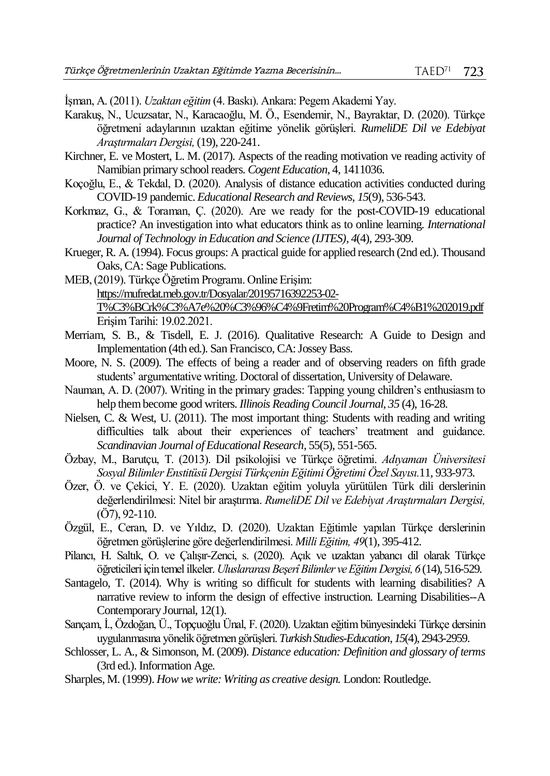İşman, A. (2011). *Uzaktan eğitim* (4. Baskı). Ankara: Pegem Akademi Yay.

- Karakuş, N., Ucuzsatar, N., Karacaoğlu, M. Ö., Esendemir, N., Bayraktar, D. (2020). Türkçe öğretmeni adaylarının uzaktan eğitime yönelik görüşleri. *RumeliDE Dil ve Edebiyat Araştırmaları Dergisi,*(19), 220-241.
- Kirchner, E. ve Mostert, L. M. (2017). Aspects of the reading motivation ve reading activity of Namibian primary school readers. *Cogent Education*, 4, 1411036.
- Koçoğlu, E., & Tekdal, D. (2020). Analysis of distance education activities conducted during COVID-19 pandemic. *Educational Research and Reviews*, *15*(9), 536-543.
- Korkmaz, G., & Toraman, Ç. (2020). Are we ready for the post-COVID-19 educational practice? An investigation into what educators think as to online learning. *International Journal of Technology in Education and Science (IJTES), 4*(4), 293-309.
- Krueger, R. A. (1994). Focus groups: A practical guide for applied research (2nd ed.). Thousand Oaks, CA: Sage Publications.
- MEB, (2019). Türkçe Öğretim Programı. Online Erişim: [https://mufredat.meb.gov.tr/Dosyalar/20195716392253-02-](https://mufredat.meb.gov.tr/Dosyalar/20195716392253-02-T%C3%BCrk%C3%A7e%20%C3%96%C4%9Fretim%20Program%C4%B1%202019.pdf) [T%C3%BCrk%C3%A7e%20%C3%96%C4%9Fretim%20Program%C4%B1%202019.pdf](https://mufredat.meb.gov.tr/Dosyalar/20195716392253-02-T%C3%BCrk%C3%A7e%20%C3%96%C4%9Fretim%20Program%C4%B1%202019.pdf) Erişim Tarihi: 19.02.2021.
- Merriam, S. B., & Tisdell, E. J. (2016). Qualitative Research: A Guide to Design and Implementation (4th ed.). San Francisco, CA: Jossey Bass.
- Moore, N. S. (2009). The effects of being a reader and of observing readers on fifth grade students' argumentative writing. Doctoral of dissertation, University of Delaware.
- Nauman, A. D. (2007). Writing in the primary grades: Tapping young children's enthusiasm to help them become good writers. *Illinois Reading Council Journal, 35* (4), 16-28.
- Nielsen, C. & West, U. (2011). The most important thing: Students with reading and writing difficulties talk about their experiences of teachers' treatment and guidance. *Scandinavian Journal of Educational Research*, 55(5), 551-565.
- Özbay, M., Barutçu, T. (2013). Dil psikolojisi ve Türkçe öğretimi. *Adıyaman Üniversitesi Sosyal Bilimler Enstitüsü Dergisi Türkçenin Eğitimi Öğretimi Özel Sayısı.*11*,* 933-973.
- Özer, Ö. ve Çekici, Y. E. (2020). Uzaktan eğitim yoluyla yürütülen Türk dili derslerinin değerlendirilmesi: Nitel bir araştırma. *RumeliDE Dil ve Edebiyat Araştırmaları Dergisi,* (Ö7), 92-110.
- Özgül, E., Ceran, D. ve Yıldız, D. (2020). Uzaktan Eğitimle yapılan Türkçe derslerinin öğretmen görüşlerine göre değerlendirilmesi. *Milli Eğitim, 49*(1), 395-412.
- Pilancı, H. Saltık, O. ve Çalışır-Zenci, s. (2020). Açık ve uzaktan yabancı dil olarak Türkçe öğreticileri için temel ilkeler. *Uluslararası BeşerîBilimler ve Eğitim Dergisi, 6* (14), 516-529.
- Santagelo, T. (2014). Why is writing so difficult for students with learning disabilities? A narrative review to inform the design of effective instruction. Learning Disabilities--A Contemporary Journal, 12(1).
- Sarıçam, İ., Özdoğan, Ü., Topçuoğlu Ünal, F. (2020). Uzaktan eğitim bünyesindeki Türkçe dersinin uygulanmasına yönelik öğretmen görüşleri. *Turkish Studies-Education*, *15*(4), 2943-2959.
- Schlosser, L. A., & Simonson, M. (2009). *Distance education: Definition and glossary of terms*  (3rd ed.). Information Age.
- Sharples, M. (1999). *How we write: Writing as creative design.* London: Routledge.